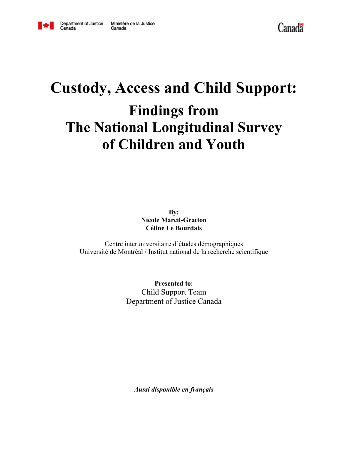

Canada

# **Custody, Access and Child Support: Findings from The National Longitudinal Survey of Children and Youth**

**By: Nicole Marcil-Gratton Céline Le Bourdais**

Centre interuniversitaire d'études démographiques Université de Montréal / Institut national de la recherche scientifique

> **Presented to:** Child Support Team Department of Justice Canada

*Aussi disponible en français*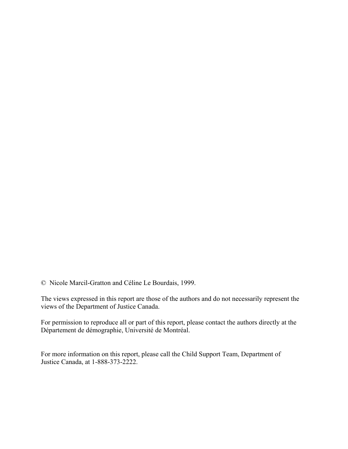© Nicole Marcil-Gratton and Céline Le Bourdais, 1999.

The views expressed in this report are those of the authors and do not necessarily represent the views of the Department of Justice Canada.

For permission to reproduce all or part of this report, please contact the authors directly at the Département de démographie, Université de Montréal.

For more information on this report, please call the Child Support Team, Department of Justice Canada, at 1-888-373-2222.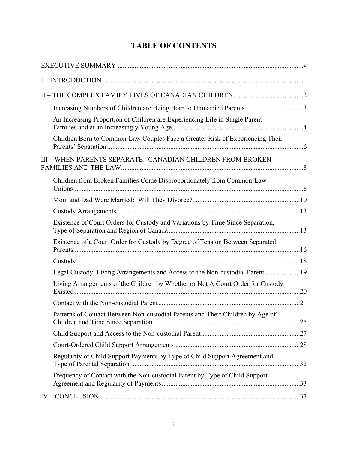# **TABLE OF CONTENTS**

| Increasing Numbers of Children are Being Born to Unmarried Parents3             |  |
|---------------------------------------------------------------------------------|--|
| An Increasing Proportion of Children are Experiencing Life in Single Parent     |  |
| Children Born to Common-Law Couples Face a Greater Risk of Experiencing Their   |  |
| III - WHEN PARENTS SEPARATE: CANADIAN CHILDREN FROM BROKEN                      |  |
| Children from Broken Families Come Disproportionately from Common-Law           |  |
|                                                                                 |  |
|                                                                                 |  |
| Existence of Court Orders for Custody and Variations by Time Since Separation,  |  |
| Existence of a Court Order for Custody by Degree of Tension Between Separated   |  |
|                                                                                 |  |
| Legal Custody, Living Arrangements and Access to the Non-custodial Parent 19    |  |
| Living Arrangements of the Children by Whether or Not A Court Order for Custody |  |
|                                                                                 |  |
| Patterns of Contact Between Non-custodial Parents and Their Children by Age of  |  |
|                                                                                 |  |
|                                                                                 |  |
| Regularity of Child Support Payments by Type of Child Support Agreement and     |  |
| Frequency of Contact with the Non-custodial Parent by Type of Child Support     |  |
|                                                                                 |  |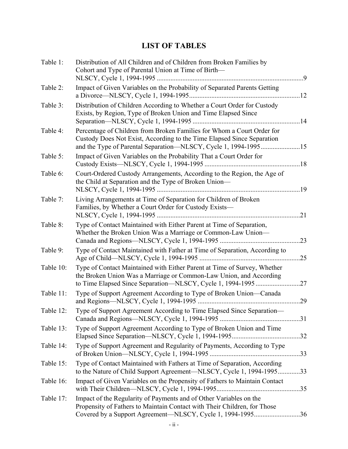# **LIST OF TABLES**

| Table 1:  | Distribution of All Children and of Children from Broken Families by<br>Cohort and Type of Parental Union at Time of Birth-                                                                                  | 9   |
|-----------|--------------------------------------------------------------------------------------------------------------------------------------------------------------------------------------------------------------|-----|
| Table 2:  | Impact of Given Variables on the Probability of Separated Parents Getting                                                                                                                                    |     |
| Table 3:  | Distribution of Children According to Whether a Court Order for Custody<br>Exists, by Region, Type of Broken Union and Time Elapsed Since                                                                    | .14 |
| Table 4:  | Percentage of Children from Broken Families for Whom a Court Order for<br>Custody Does Not Exist, According to the Time Elapsed Since Separation                                                             |     |
| Table 5:  | Impact of Given Variables on the Probability That a Court Order for                                                                                                                                          |     |
| Table 6:  | Court-Ordered Custody Arrangements, According to the Region, the Age of<br>the Child at Separation and the Type of Broken Union—                                                                             |     |
| Table 7:  | Living Arrangements at Time of Separation for Children of Broken<br>Families, by Whether a Court Order for Custody Exists-                                                                                   | 21  |
| Table 8:  | Type of Contact Maintained with Either Parent at Time of Separation,<br>Whether the Broken Union Was a Marriage or Common-Law Union-                                                                         | .23 |
| Table 9:  | Type of Contact Maintained with Father at Time of Separation, According to                                                                                                                                   | .25 |
| Table 10: | Type of Contact Maintained with Either Parent at Time of Survey, Whether<br>the Broken Union Was a Marriage or Common-Law Union, and According                                                               | .27 |
| Table 11: | Type of Support Agreement According to Type of Broken Union-Canada                                                                                                                                           | .29 |
| Table 12: | Type of Support Agreement According to Time Elapsed Since Separation-                                                                                                                                        |     |
| Table 13: | Type of Support Agreement According to Type of Broken Union and Time                                                                                                                                         |     |
| Table 14: | Type of Support Agreement and Regularity of Payments, According to Type                                                                                                                                      |     |
| Table 15: | Type of Contact Maintained with Fathers at Time of Separation, According<br>to the Nature of Child Support Agreement—NLSCY, Cycle 1, 1994-199533                                                             |     |
| Table 16: | Impact of Given Variables on the Propensity of Fathers to Maintain Contact                                                                                                                                   |     |
| Table 17: | Impact of the Regularity of Payments and of Other Variables on the<br>Propensity of Fathers to Maintain Contact with Their Children, for Those<br>Covered by a Support Agreement-NLSCY, Cycle 1, 1994-199536 |     |
|           |                                                                                                                                                                                                              |     |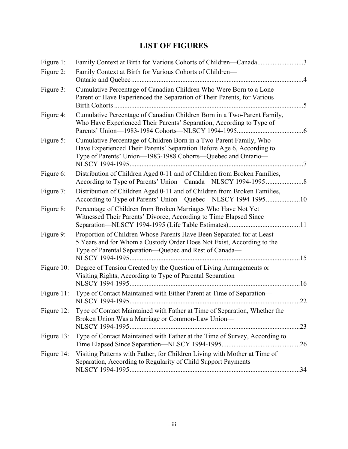# **LIST OF FIGURES**

| Figure 1:  | Family Context at Birth for Various Cohorts of Children—Canada3                                                                                                                                                                |                |
|------------|--------------------------------------------------------------------------------------------------------------------------------------------------------------------------------------------------------------------------------|----------------|
| Figure 2:  | Family Context at Birth for Various Cohorts of Children—<br>Ontario and Quebec                                                                                                                                                 |                |
| Figure 3:  | Cumulative Percentage of Canadian Children Who Were Born to a Lone<br>Parent or Have Experienced the Separation of Their Parents, for Various                                                                                  | $\overline{5}$ |
| Figure 4:  | Cumulative Percentage of Canadian Children Born in a Two-Parent Family,<br>Who Have Experienced Their Parents' Separation, According to Type of                                                                                |                |
| Figure 5:  | Cumulative Percentage of Children Born in a Two-Parent Family, Who<br>Have Experienced Their Parents' Separation Before Age 6, According to<br>Type of Parents' Union—1983-1988 Cohorts—Quebec and Ontario—<br>NLSCY 1994-1995 | $\overline{7}$ |
| Figure 6:  | Distribution of Children Aged 0-11 and of Children from Broken Families,                                                                                                                                                       |                |
| Figure 7:  | Distribution of Children Aged 0-11 and of Children from Broken Families,<br>According to Type of Parents' Union-Quebec-NLSCY 1994-199510                                                                                       |                |
| Figure 8:  | Percentage of Children from Broken Marriages Who Have Not Yet<br>Witnessed Their Parents' Divorce, According to Time Elapsed Since                                                                                             |                |
| Figure 9:  | Proportion of Children Whose Parents Have Been Separated for at Least<br>5 Years and for Whom a Custody Order Does Not Exist, According to the<br>Type of Parental Separation-Quebec and Rest of Canada-                       |                |
| Figure 10: | Degree of Tension Created by the Question of Living Arrangements or<br>Visiting Rights, According to Type of Parental Separation—<br>NLSCY 1994-1995<br>. 16                                                                   |                |
| Figure 11: | Type of Contact Maintained with Either Parent at Time of Separation-                                                                                                                                                           | 22             |
|            | Figure 12: Type of Contact Maintained with Father at Time of Separation, Whether the<br>Broken Union Was a Marriage or Common-Law Union-                                                                                       |                |
| Figure 13: | Type of Contact Maintained with Father at the Time of Survey, According to                                                                                                                                                     |                |
| Figure 14: | Visiting Patterns with Father, for Children Living with Mother at Time of<br>Separation, According to Regularity of Child Support Payments—                                                                                    |                |
|            |                                                                                                                                                                                                                                |                |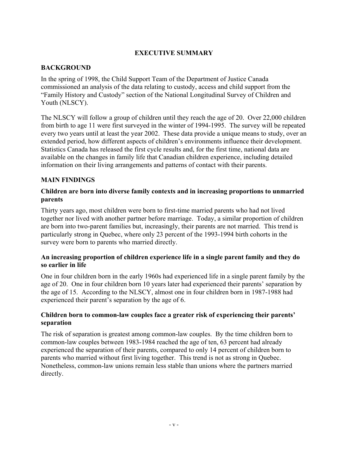# **EXECUTIVE SUMMARY**

# **BACKGROUND**

In the spring of 1998, the Child Support Team of the Department of Justice Canada commissioned an analysis of the data relating to custody, access and child support from the "Family History and Custody" section of the National Longitudinal Survey of Children and Youth (NLSCY).

The NLSCY will follow a group of children until they reach the age of 20. Over 22,000 children from birth to age 11 were first surveyed in the winter of 1994-1995. The survey will be repeated every two years until at least the year 2002. These data provide a unique means to study, over an extended period, how different aspects of children's environments influence their development. Statistics Canada has released the first cycle results and, for the first time, national data are available on the changes in family life that Canadian children experience, including detailed information on their living arrangements and patterns of contact with their parents.

#### **MAIN FINDINGS**

#### **Children are born into diverse family contexts and in increasing proportions to unmarried parents**

Thirty years ago, most children were born to first-time married parents who had not lived together nor lived with another partner before marriage. Today, a similar proportion of children are born into two-parent families but, increasingly, their parents are not married. This trend is particularly strong in Quebec, where only 23 percent of the 1993-1994 birth cohorts in the survey were born to parents who married directly.

#### **An increasing proportion of children experience life in a single parent family and they do so earlier in life**

One in four children born in the early 1960s had experienced life in a single parent family by the age of 20. One in four children born 10 years later had experienced their parents' separation by the age of 15. According to the NLSCY, almost one in four children born in 1987-1988 had experienced their parent's separation by the age of 6.

#### **Children born to common-law couples face a greater risk of experiencing their parents' separation**

The risk of separation is greatest among common-law couples. By the time children born to common-law couples between 1983-1984 reached the age of ten, 63 percent had already experienced the separation of their parents, compared to only 14 percent of children born to parents who married without first living together. This trend is not as strong in Quebec. Nonetheless, common-law unions remain less stable than unions where the partners married directly.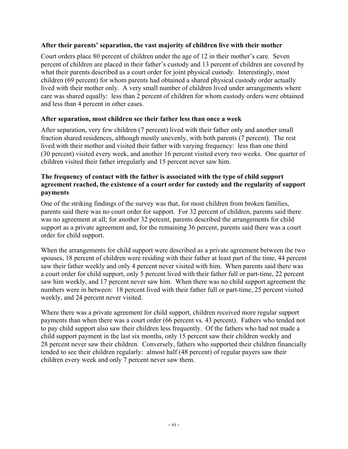# **After their parents' separation, the vast majority of children live with their mother**

Court orders place 80 percent of children under the age of 12 in their mother's care. Seven percent of children are placed in their father's custody and 13 percent of children are covered by what their parents described as a court order for joint physical custody. Interestingly, most children (69 percent) for whom parents had obtained a shared physical custody order actually lived with their mother only. A very small number of children lived under arrangements where care was shared equally: less than 2 percent of children for whom custody orders were obtained and less than 4 percent in other cases.

# **After separation, most children see their father less than once a week**

After separation, very few children (7 percent) lived with their father only and another small fraction shared residences, although mostly unevenly, with both parents (7 percent). The rest lived with their mother and visited their father with varying frequency: less than one third (30 percent) visited every week, and another 16 percent visited every two weeks. One quarter of children visited their father irregularly and 15 percent never saw him.

#### **The frequency of contact with the father is associated with the type of child support agreement reached, the existence of a court order for custody and the regularity of support payments**

One of the striking findings of the survey was that, for most children from broken families, parents said there was no court order for support. For 32 percent of children, parents said there was no agreement at all; for another 32 percent, parents described the arrangements for child support as a private agreement and, for the remaining 36 percent, parents said there was a court order for child support.

When the arrangements for child support were described as a private agreement between the two spouses, 18 percent of children were residing with their father at least part of the time, 44 percent saw their father weekly and only 4 percent never visited with him. When parents said there was a court order for child support, only 5 percent lived with their father full or part-time, 22 percent saw him weekly, and 17 percent never saw him. When there was no child support agreement the numbers were in between: 18 percent lived with their father full or part-time, 25 percent visited weekly, and 24 percent never visited.

Where there was a private agreement for child support, children received more regular support payments than when there was a court order (66 percent vs. 43 percent). Fathers who tended not to pay child support also saw their children less frequently. Of the fathers who had not made a child support payment in the last six months, only 15 percent saw their children weekly and 28 percent never saw their children. Conversely, fathers who supported their children financially tended to see their children regularly: almost half (48 percent) of regular payers saw their children every week and only 7 percent never saw them.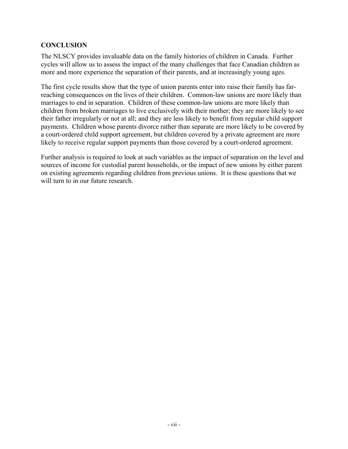# **CONCLUSION**

The NLSCY provides invaluable data on the family histories of children in Canada. Further cycles will allow us to assess the impact of the many challenges that face Canadian children as more and more experience the separation of their parents, and at increasingly young ages.

The first cycle results show that the type of union parents enter into raise their family has farreaching consequences on the lives of their children. Common-law unions are more likely than marriages to end in separation. Children of these common-law unions are more likely than children from broken marriages to live exclusively with their mother; they are more likely to see their father irregularly or not at all; and they are less likely to benefit from regular child support payments. Children whose parents divorce rather than separate are more likely to be covered by a court-ordered child support agreement, but children covered by a private agreement are more likely to receive regular support payments than those covered by a court-ordered agreement.

Further analysis is required to look at such variables as the impact of separation on the level and sources of income for custodial parent households, or the impact of new unions by either parent on existing agreements regarding children from previous unions. It is these questions that we will turn to in our future research.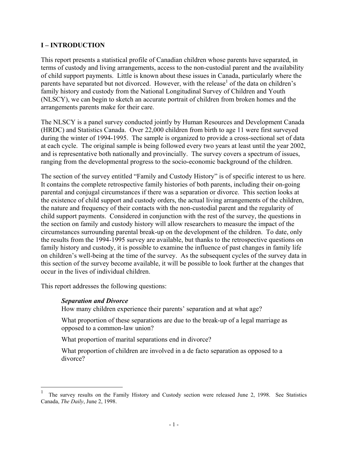# **I – INTRODUCTION**

This report presents a statistical profile of Canadian children whose parents have separated, in terms of custody and living arrangements, access to the non-custodial parent and the availability of child support payments. Little is known about these issues in Canada, particularly where the parents have separated but not divorced. However, with the release<sup>1</sup> of the data on children's family history and custody from the National Longitudinal Survey of Children and Youth (NLSCY), we can begin to sketch an accurate portrait of children from broken homes and the arrangements parents make for their care.

The NLSCY is a panel survey conducted jointly by Human Resources and Development Canada (HRDC) and Statistics Canada. Over 22,000 children from birth to age 11 were first surveyed during the winter of 1994-1995. The sample is organized to provide a cross-sectional set of data at each cycle. The original sample is being followed every two years at least until the year 2002, and is representative both nationally and provincially. The survey covers a spectrum of issues, ranging from the developmental progress to the socio-economic background of the children.

The section of the survey entitled "Family and Custody History" is of specific interest to us here. It contains the complete retrospective family histories of both parents, including their on-going parental and conjugal circumstances if there was a separation or divorce. This section looks at the existence of child support and custody orders, the actual living arrangements of the children, the nature and frequency of their contacts with the non-custodial parent and the regularity of child support payments. Considered in conjunction with the rest of the survey, the questions in the section on family and custody history will allow researchers to measure the impact of the circumstances surrounding parental break-up on the development of the children. To date, only the results from the 1994-1995 survey are available, but thanks to the retrospective questions on family history and custody, it is possible to examine the influence of past changes in family life on children's well-being at the time of the survey. As the subsequent cycles of the survey data in this section of the survey become available, it will be possible to look further at the changes that occur in the lives of individual children.

This report addresses the following questions:

#### *Separation and Divorce*

 $\overline{a}$ 

How many children experience their parents' separation and at what age?

What proportion of these separations are due to the break-up of a legal marriage as opposed to a common-law union?

What proportion of marital separations end in divorce?

What proportion of children are involved in a de facto separation as opposed to a divorce?

<sup>1</sup> The survey results on the Family History and Custody section were released June 2, 1998. See Statistics Canada, *The Daily*, June 2, 1998.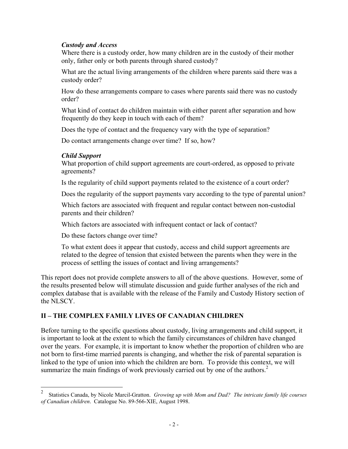#### *Custody and Access*

Where there is a custody order, how many children are in the custody of their mother only, father only or both parents through shared custody?

What are the actual living arrangements of the children where parents said there was a custody order?

How do these arrangements compare to cases where parents said there was no custody order?

What kind of contact do children maintain with either parent after separation and how frequently do they keep in touch with each of them?

Does the type of contact and the frequency vary with the type of separation?

Do contact arrangements change over time? If so, how?

#### *Child Support*

 $\overline{a}$ 

What proportion of child support agreements are court-ordered, as opposed to private agreements?

Is the regularity of child support payments related to the existence of a court order?

Does the regularity of the support payments vary according to the type of parental union?

Which factors are associated with frequent and regular contact between non-custodial parents and their children?

Which factors are associated with infrequent contact or lack of contact?

Do these factors change over time?

To what extent does it appear that custody, access and child support agreements are related to the degree of tension that existed between the parents when they were in the process of settling the issues of contact and living arrangements?

This report does not provide complete answers to all of the above questions. However, some of the results presented below will stimulate discussion and guide further analyses of the rich and complex database that is available with the release of the Family and Custody History section of the NLSCY.

# **II – THE COMPLEX FAMILY LIVES OF CANADIAN CHILDREN**

Before turning to the specific questions about custody, living arrangements and child support, it is important to look at the extent to which the family circumstances of children have changed over the years. For example, it is important to know whether the proportion of children who are not born to first-time married parents is changing, and whether the risk of parental separation is linked to the type of union into which the children are born. To provide this context, we will summarize the main findings of work previously carried out by one of the authors.<sup>2</sup>

<sup>2</sup> Statistics Canada, by Nicole Marcil-Gratton. *Growing up with Mom and Dad? The intricate family life courses of Canadian children*. Catalogue No. 89-566-XIE, August 1998.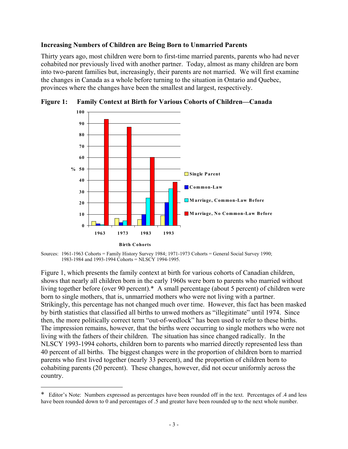#### **Increasing Numbers of Children are Being Born to Unmarried Parents**

Thirty years ago, most children were born to first-time married parents, parents who had never cohabited nor previously lived with another partner. Today, almost as many children are born into two-parent families but, increasingly, their parents are not married. We will first examine the changes in Canada as a whole before turning to the situation in Ontario and Quebec, provinces where the changes have been the smallest and largest, respectively.



**Figure 1: Family Context at Birth for Various Cohorts of Children—Canada**

Sources: 1961-1963 Cohorts = Family History Survey 1984; 1971-1973 Cohorts = General Social Survey 1990; 1983-1984 and 1993-1994 Cohorts = NLSCY 1994-1995.

Figure 1, which presents the family context at birth for various cohorts of Canadian children, shows that nearly all children born in the early 1960s were born to parents who married without living together before (over 90 percent).\* A small percentage (about 5 percent) of children were born to single mothers, that is, unmarried mothers who were not living with a partner. Strikingly, this percentage has not changed much over time. However, this fact has been masked by birth statistics that classified all births to unwed mothers as "illegitimate" until 1974. Since then, the more politically correct term "out-of-wedlock" has been used to refer to these births. The impression remains, however, that the births were occurring to single mothers who were not living with the fathers of their children. The situation has since changed radically. In the NLSCY 1993-1994 cohorts, children born to parents who married directly represented less than 40 percent of all births. The biggest changes were in the proportion of children born to married parents who first lived together (nearly 33 percent), and the proportion of children born to cohabiting parents (20 percent). These changes, however, did not occur uniformly across the country.

 $\overline{a}$ 

<sup>\*</sup> Editor's Note: Numbers expressed as percentages have been rounded off in the text. Percentages of .4 and less have been rounded down to 0 and percentages of .5 and greater have been rounded up to the next whole number.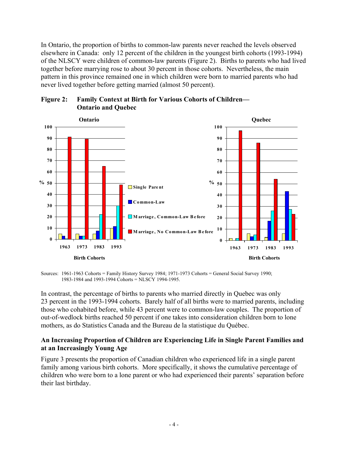In Ontario, the proportion of births to common-law parents never reached the levels observed elsewhere in Canada: only 12 percent of the children in the youngest birth cohorts (1993-1994) of the NLSCY were children of common-law parents (Figure 2). Births to parents who had lived together before marrying rose to about 30 percent in those cohorts. Nevertheless, the main pattern in this province remained one in which children were born to married parents who had never lived together before getting married (almost 50 percent).





Sources: 1961-1963 Cohorts = Family History Survey 1984; 1971-1973 Cohorts = General Social Survey 1990; 1983-1984 and 1993-1994 Cohorts = NLSCY 1994-1995.

In contrast, the percentage of births to parents who married directly in Quebec was only 23 percent in the 1993-1994 cohorts. Barely half of all births were to married parents, including those who cohabited before, while 43 percent were to common-law couples. The proportion of out-of-wedlock births reached 50 percent if one takes into consideration children born to lone mothers, as do Statistics Canada and the Bureau de la statistique du Québec.

#### **An Increasing Proportion of Children are Experiencing Life in Single Parent Families and at an Increasingly Young Age**

Figure 3 presents the proportion of Canadian children who experienced life in a single parent family among various birth cohorts. More specifically, it shows the cumulative percentage of children who were born to a lone parent or who had experienced their parents' separation before their last birthday.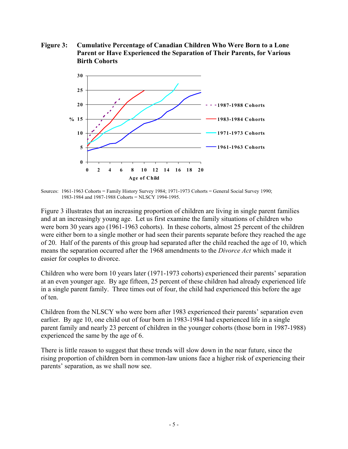**Figure 3: Cumulative Percentage of Canadian Children Who Were Born to a Lone Parent or Have Experienced the Separation of Their Parents, for Various Birth Cohorts**



Sources: 1961-1963 Cohorts = Family History Survey 1984; 1971-1973 Cohorts = General Social Survey 1990; 1983-1984 and 1987-1988 Cohorts = NLSCY 1994-1995.

Figure 3 illustrates that an increasing proportion of children are living in single parent families and at an increasingly young age. Let us first examine the family situations of children who were born 30 years ago (1961-1963 cohorts). In these cohorts, almost 25 percent of the children were either born to a single mother or had seen their parents separate before they reached the age of 20. Half of the parents of this group had separated after the child reached the age of 10, which means the separation occurred after the 1968 amendments to the *Divorce Act* which made it easier for couples to divorce.

Children who were born 10 years later (1971-1973 cohorts) experienced their parents' separation at an even younger age. By age fifteen, 25 percent of these children had already experienced life in a single parent family. Three times out of four, the child had experienced this before the age of ten.

Children from the NLSCY who were born after 1983 experienced their parents' separation even earlier. By age 10, one child out of four born in 1983-1984 had experienced life in a single parent family and nearly 23 percent of children in the younger cohorts (those born in 1987-1988) experienced the same by the age of 6.

There is little reason to suggest that these trends will slow down in the near future, since the rising proportion of children born in common-law unions face a higher risk of experiencing their parents' separation, as we shall now see.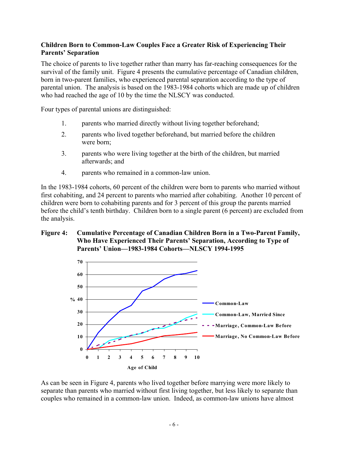#### **Children Born to Common-Law Couples Face a Greater Risk of Experiencing Their Parents' Separation**

The choice of parents to live together rather than marry has far-reaching consequences for the survival of the family unit. Figure 4 presents the cumulative percentage of Canadian children, born in two-parent families, who experienced parental separation according to the type of parental union. The analysis is based on the 1983-1984 cohorts which are made up of children who had reached the age of 10 by the time the NLSCY was conducted.

Four types of parental unions are distinguished:

- 1. parents who married directly without living together beforehand;
- 2. parents who lived together beforehand, but married before the children were born;
- 3. parents who were living together at the birth of the children, but married afterwards; and
- 4. parents who remained in a common-law union.

In the 1983-1984 cohorts, 60 percent of the children were born to parents who married without first cohabiting, and 24 percent to parents who married after cohabiting. Another 10 percent of children were born to cohabiting parents and for 3 percent of this group the parents married before the child's tenth birthday. Children born to a single parent (6 percent) are excluded from the analysis.

#### **Figure 4: Cumulative Percentage of Canadian Children Born in a Two-Parent Family, Who Have Experienced Their Parents' Separation, According to Type of Parents' Union—1983-1984 Cohorts—NLSCY 1994-1995**



As can be seen in Figure 4, parents who lived together before marrying were more likely to separate than parents who married without first living together, but less likely to separate than couples who remained in a common-law union. Indeed, as common-law unions have almost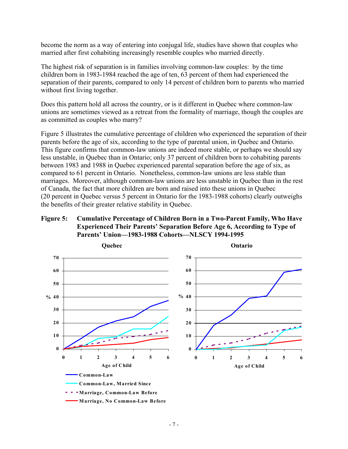become the norm as a way of entering into conjugal life, studies have shown that couples who married after first cohabiting increasingly resemble couples who married directly.

The highest risk of separation is in families involving common-law couples: by the time children born in 1983-1984 reached the age of ten, 63 percent of them had experienced the separation of their parents, compared to only 14 percent of children born to parents who married without first living together.

Does this pattern hold all across the country, or is it different in Quebec where common-law unions are sometimes viewed as a retreat from the formality of marriage, though the couples are as committed as couples who marry?

Figure 5 illustrates the cumulative percentage of children who experienced the separation of their parents before the age of six, according to the type of parental union, in Quebec and Ontario. This figure confirms that common-law unions are indeed more stable, or perhaps we should say less unstable, in Quebec than in Ontario; only 37 percent of children born to cohabiting parents between 1983 and 1988 in Quebec experienced parental separation before the age of six, as compared to 61 percent in Ontario. Nonetheless, common-law unions are less stable than marriages. Moreover, although common-law unions are less unstable in Quebec than in the rest of Canada, the fact that more children are born and raised into these unions in Quebec (20 percent in Quebec versus 5 percent in Ontario for the 1983-1988 cohorts) clearly outweighs the benefits of their greater relative stability in Quebec.

# **Figure 5: Cumulative Percentage of Children Born in a Two-Parent Family, Who Have Experienced Their Parents' Separation Before Age 6, According to Type of Parents' Union—1983-1988 Cohorts—NLSCY 1994-1995**

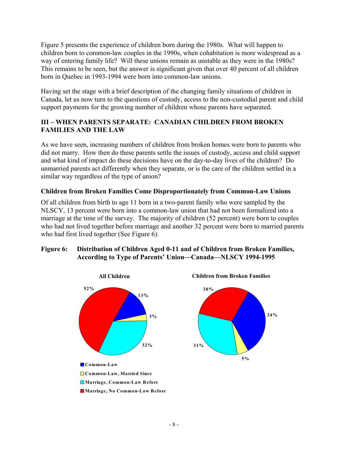Figure 5 presents the experience of children born during the 1980s. What will happen to children born to common-law couples in the 1990s, when cohabitation is more widespread as a way of entering family life? Will these unions remain as unstable as they were in the 1980s? This remains to be seen, but the answer is significant given that over 40 percent of all children born in Quebec in 1993-1994 were born into common-law unions.

Having set the stage with a brief description of the changing family situations of children in Canada, let us now turn to the questions of custody, access to the non-custodial parent and child support payments for the growing number of children whose parents have separated.

# **III – WHEN PARENTS SEPARATE: CANADIAN CHILDREN FROM BROKEN FAMILIES AND THE LAW**

As we have seen, increasing numbers of children from broken homes were born to parents who did not marry. How then do these parents settle the issues of custody, access and child support and what kind of impact do these decisions have on the day-to-day lives of the children? Do unmarried parents act differently when they separate, or is the care of the children settled in a similar way regardless of the type of union?

# **Children from Broken Families Come Disproportionately from Common-Law Unions**

Of all children from birth to age 11 born in a two-parent family who were sampled by the NLSCY, 13 percent were born into a common-law union that had not been formalized into a marriage at the time of the survey. The majority of children (52 percent) were born to couples who had not lived together before marriage and another 32 percent were born to married parents who had first lived together (See Figure 6).

#### **Figure 6: Distribution of Children Aged 0-11 and of Children from Broken Families, According to Type of Parents' Union—Canada—NLSCY 1994-1995**

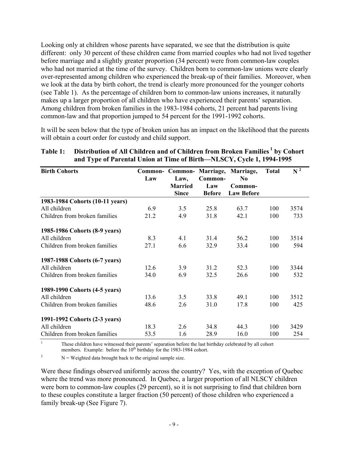Looking only at children whose parents have separated, we see that the distribution is quite different: only 30 percent of these children came from married couples who had not lived together before marriage and a slightly greater proportion (34 percent) were from common-law couples who had not married at the time of the survey. Children born to common-law unions were clearly over-represented among children who experienced the break-up of their families. Moreover, when we look at the data by birth cohort, the trend is clearly more pronounced for the younger cohorts (see Table 1). As the percentage of children born to common-law unions increases, it naturally makes up a larger proportion of all children who have experienced their parents' separation. Among children from broken families in the 1983-1984 cohorts, 21 percent had parents living common-law and that proportion jumped to 54 percent for the 1991-1992 cohorts.

It will be seen below that the type of broken union has an impact on the likelihood that the parents will obtain a court order for custody and child support.

| <b>Birth Cohorts</b>            |      |                |               | Common- Common- Marriage, Marriage, | <b>Total</b> | $N^2$ |
|---------------------------------|------|----------------|---------------|-------------------------------------|--------------|-------|
|                                 | Law  | Law,           | Common-       | N <sub>0</sub>                      |              |       |
|                                 |      | <b>Married</b> | Law           | Common-                             |              |       |
|                                 |      | <b>Since</b>   | <b>Before</b> | <b>Law Before</b>                   |              |       |
| 1983-1984 Cohorts (10-11 years) |      |                |               |                                     |              |       |
| All children                    | 6.9  | 3.5            | 25.8          | 63.7                                | 100          | 3574  |
| Children from broken families   | 21.2 | 4.9            | 31.8          | 42.1                                | 100          | 733   |
| 1985-1986 Cohorts (8-9 years)   |      |                |               |                                     |              |       |
| All children                    | 8.3  | 4.1            | 31.4          | 56.2                                | 100          | 3514  |
| Children from broken families   | 27.1 | 6.6            | 32.9          | 33.4                                | 100          | 594   |
| 1987-1988 Cohorts (6-7 years)   |      |                |               |                                     |              |       |
| All children                    | 12.6 | 3.9            | 31.2          | 52.3                                | 100          | 3344  |
| Children from broken families   | 34.0 | 6.9            | 32.5          | 26.6                                | 100          | 532   |
| 1989-1990 Cohorts (4-5 years)   |      |                |               |                                     |              |       |
| All children                    | 13.6 | 3.5            | 33.8          | 49.1                                | 100          | 3512  |
| Children from broken families   | 48.6 | 2.6            | 31.0          | 17.8                                | 100          | 425   |
| 1991-1992 Cohorts (2-3 years)   |      |                |               |                                     |              |       |
| All children                    | 18.3 | 2.6            | 34.8          | 44.3                                | 100          | 3429  |
| Children from broken families   | 53.5 | 1.6            | 28.9          | 16.0                                | 100          | 254   |

# Table 1: Distribution of All Children and of Children from Broken Families<sup>1</sup> by Cohort **and Type of Parental Union at Time of Birth—NLSCY, Cycle 1, 1994-1995**

<sup>1</sup> These children have witnessed their parents' separation before the last birthday celebrated by all cohort members. Example: before the 10<sup>th</sup> birthday for the 1983-1984 cohort.

<sup>2</sup> N = Weighted data brought back to the original sample size.

Were these findings observed uniformly across the country? Yes, with the exception of Quebec where the trend was more pronounced. In Quebec, a larger proportion of all NLSCY children were born to common-law couples (29 percent), so it is not surprising to find that children born to these couples constitute a larger fraction (50 percent) of those children who experienced a family break-up (See Figure 7).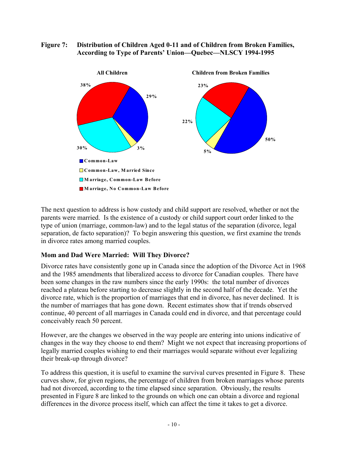#### **Figure 7: Distribution of Children Aged 0-11 and of Children from Broken Families, According to Type of Parents' Union—Quebec—NLSCY 1994-1995**



The next question to address is how custody and child support are resolved, whether or not the parents were married. Is the existence of a custody or child support court order linked to the type of union (marriage, common-law) and to the legal status of the separation (divorce, legal separation, de facto separation)? To begin answering this question, we first examine the trends in divorce rates among married couples.

# **Mom and Dad Were Married: Will They Divorce?**

Divorce rates have consistently gone up in Canada since the adoption of the Divorce Act in 1968 and the 1985 amendments that liberalized access to divorce for Canadian couples. There have been some changes in the raw numbers since the early 1990s: the total number of divorces reached a plateau before starting to decrease slightly in the second half of the decade. Yet the divorce rate, which is the proportion of marriages that end in divorce, has never declined. It is the number of marriages that has gone down. Recent estimates show that if trends observed continue, 40 percent of all marriages in Canada could end in divorce, and that percentage could conceivably reach 50 percent.

However, are the changes we observed in the way people are entering into unions indicative of changes in the way they choose to end them? Might we not expect that increasing proportions of legally married couples wishing to end their marriages would separate without ever legalizing their break-up through divorce?

To address this question, it is useful to examine the survival curves presented in Figure 8. These curves show, for given regions, the percentage of children from broken marriages whose parents had not divorced, according to the time elapsed since separation. Obviously, the results presented in Figure 8 are linked to the grounds on which one can obtain a divorce and regional differences in the divorce process itself, which can affect the time it takes to get a divorce.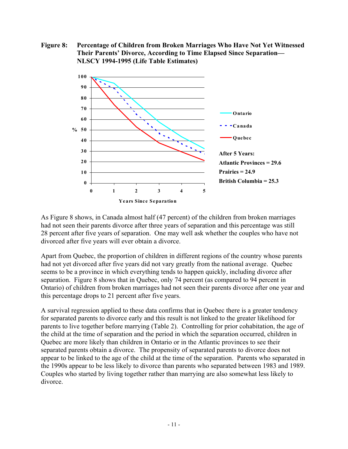**Figure 8: Percentage of Children from Broken Marriages Who Have Not Yet Witnessed Their Parents' Divorce, According to Time Elapsed Since Separation— NLSCY 1994-1995 (Life Table Estimates)**



As Figure 8 shows, in Canada almost half (47 percent) of the children from broken marriages had not seen their parents divorce after three years of separation and this percentage was still 28 percent after five years of separation. One may well ask whether the couples who have not divorced after five years will ever obtain a divorce.

Apart from Quebec, the proportion of children in different regions of the country whose parents had not yet divorced after five years did not vary greatly from the national average. Quebec seems to be a province in which everything tends to happen quickly, including divorce after separation. Figure 8 shows that in Quebec, only 74 percent (as compared to 94 percent in Ontario) of children from broken marriages had not seen their parents divorce after one year and this percentage drops to 21 percent after five years.

A survival regression applied to these data confirms that in Quebec there is a greater tendency for separated parents to divorce early and this result is not linked to the greater likelihood for parents to live together before marrying (Table 2). Controlling for prior cohabitation, the age of the child at the time of separation and the period in which the separation occurred, children in Quebec are more likely than children in Ontario or in the Atlantic provinces to see their separated parents obtain a divorce. The propensity of separated parents to divorce does not appear to be linked to the age of the child at the time of the separation. Parents who separated in the 1990s appear to be less likely to divorce than parents who separated between 1983 and 1989. Couples who started by living together rather than marrying are also somewhat less likely to divorce.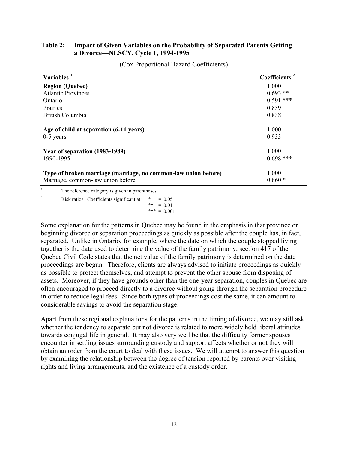# **Table 2: Impact of Given Variables on the Probability of Separated Parents Getting a Divorce—NLSCY, Cycle 1, 1994-1995**

| Variables <sup>1</sup>                                         | Coefficients <sup>2</sup> |
|----------------------------------------------------------------|---------------------------|
| <b>Region (Quebec)</b>                                         | 1.000                     |
| <b>Atlantic Provinces</b>                                      | $0.693**$                 |
| Ontario                                                        | $0.591$ ***               |
| Prairies                                                       | 0.839                     |
| British Columbia                                               | 0.838                     |
| Age of child at separation (6-11 years)                        | 1.000                     |
| $0-5$ years                                                    | 0.933                     |
| Year of separation (1983-1989)                                 | 1.000                     |
| 1990-1995                                                      | $0.698$ ***               |
| Type of broken marriage (marriage, no common-law union before) | 1.000                     |
| Marriage, common-law union before                              | $0.860*$                  |
| The reference category is given in parentheses.                |                           |

(Cox Proportional Hazard Coefficients)

erence category is given in pa

<sup>2</sup> Risk ratios. Coefficients significant at:  $* = 0.05$ \*\* =  $0.01$  $*** = 0.001$ 

Some explanation for the patterns in Quebec may be found in the emphasis in that province on beginning divorce or separation proceedings as quickly as possible after the couple has, in fact, separated. Unlike in Ontario, for example, where the date on which the couple stopped living together is the date used to determine the value of the family patrimony, section 417 of the Quebec Civil Code states that the net value of the family patrimony is determined on the date proceedings are begun. Therefore, clients are always advised to initiate proceedings as quickly as possible to protect themselves, and attempt to prevent the other spouse from disposing of assets. Moreover, if they have grounds other than the one-year separation, couples in Quebec are often encouraged to proceed directly to a divorce without going through the separation procedure in order to reduce legal fees. Since both types of proceedings cost the same, it can amount to considerable savings to avoid the separation stage.

Apart from these regional explanations for the patterns in the timing of divorce, we may still ask whether the tendency to separate but not divorce is related to more widely held liberal attitudes towards conjugal life in general. It may also very well be that the difficulty former spouses encounter in settling issues surrounding custody and support affects whether or not they will obtain an order from the court to deal with these issues. We will attempt to answer this question by examining the relationship between the degree of tension reported by parents over visiting rights and living arrangements, and the existence of a custody order.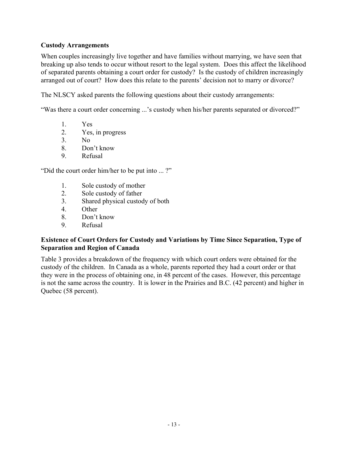# **Custody Arrangements**

When couples increasingly live together and have families without marrying, we have seen that breaking up also tends to occur without resort to the legal system. Does this affect the likelihood of separated parents obtaining a court order for custody? Is the custody of children increasingly arranged out of court? How does this relate to the parents' decision not to marry or divorce?

The NLSCY asked parents the following questions about their custody arrangements:

"Was there a court order concerning ...'s custody when his/her parents separated or divorced?"

- 1. Yes
- 2. Yes, in progress
- 3. No
- 8. Don't know
- 9. Refusal

"Did the court order him/her to be put into ... ?"

- 1. Sole custody of mother
- 2. Sole custody of father
- 3. Shared physical custody of both
- 4. Other
- 8. Don't know
- 9. Refusal

#### **Existence of Court Orders for Custody and Variations by Time Since Separation, Type of Separation and Region of Canada**

Table 3 provides a breakdown of the frequency with which court orders were obtained for the custody of the children. In Canada as a whole, parents reported they had a court order or that they were in the process of obtaining one, in 48 percent of the cases. However, this percentage is not the same across the country. It is lower in the Prairies and B.C. (42 percent) and higher in Quebec (58 percent).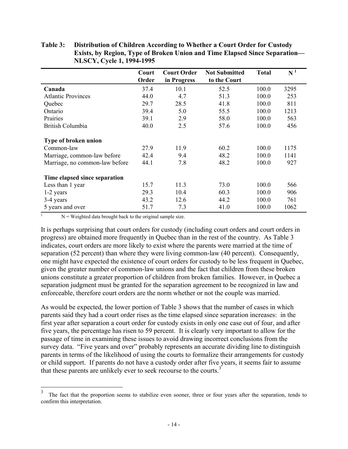|                                | Court<br>Order | <b>Court Order</b><br>in Progress | <b>Not Submitted</b><br>to the Court | <b>Total</b> | N <sup>1</sup> |
|--------------------------------|----------------|-----------------------------------|--------------------------------------|--------------|----------------|
|                                |                |                                   |                                      |              |                |
| Canada                         | 37.4           | 10.1                              | 52.5                                 | 100.0        | 3295           |
| <b>Atlantic Provinces</b>      | 44.0           | 4.7                               | 51.3                                 | 100.0        | 253            |
| Quebec                         | 29.7           | 28.5                              | 41.8                                 | 100.0        | 811            |
| Ontario                        | 39.4           | 5.0                               | 55.5                                 | 100.0        | 1213           |
| Prairies                       | 39.1           | 2.9                               | 58.0                                 | 100.0        | 563            |
| British Columbia               | 40.0           | 2.5                               | 57.6                                 | 100.0        | 456            |
| Type of broken union           |                |                                   |                                      |              |                |
| Common-law                     | 27.9           | 11.9                              | 60.2                                 | 100.0        | 1175           |
| Marriage, common-law before    | 42.4           | 9.4                               | 48.2                                 | 100.0        | 1141           |
| Marriage, no common-law before | 44.1           | 7.8                               | 48.2                                 | 100.0        | 927            |
| Time elapsed since separation  |                |                                   |                                      |              |                |
| Less than 1 year               | 15.7           | 11.3                              | 73.0                                 | 100.0        | 566            |
| 1-2 years                      | 29.3           | 10.4                              | 60.3                                 | 100.0        | 906            |
| 3-4 years                      | 43.2           | 12.6                              | 44.2                                 | 100.0        | 761            |
| 5 years and over               | 51.7           | 7.3                               | 41.0                                 | 100.0        | 1062           |

**Table 3: Distribution of Children According to Whether a Court Order for Custody Exists, by Region, Type of Broken Union and Time Elapsed Since Separation— NLSCY, Cycle 1, 1994-1995**

 $N =$  Weighted data brought back to the original sample size.

 $\overline{a}$ 

It is perhaps surprising that court orders for custody (including court orders and court orders in progress) are obtained more frequently in Quebec than in the rest of the country. As Table 3 indicates, court orders are more likely to exist where the parents were married at the time of separation (52 percent) than where they were living common-law (40 percent). Consequently, one might have expected the existence of court orders for custody to be less frequent in Quebec, given the greater number of common-law unions and the fact that children from these broken unions constitute a greater proportion of children from broken families. However, in Quebec a separation judgment must be granted for the separation agreement to be recognized in law and enforceable, therefore court orders are the norm whether or not the couple was married.

As would be expected, the lower portion of Table 3 shows that the number of cases in which parents said they had a court order rises as the time elapsed since separation increases: in the first year after separation a court order for custody exists in only one case out of four, and after five years, the percentage has risen to 59 percent. It is clearly very important to allow for the passage of time in examining these issues to avoid drawing incorrect conclusions from the survey data. "Five years and over" probably represents an accurate dividing line to distinguish parents in terms of the likelihood of using the courts to formalize their arrangements for custody or child support. If parents do not have a custody order after five years, it seems fair to assume that these parents are unlikely ever to seek recourse to the courts.<sup>3</sup>

<sup>3</sup> The fact that the proportion seems to stabilize even sooner, three or four years after the separation, tends to confirm this interpretation.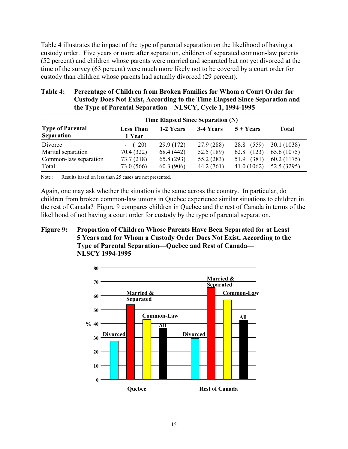Table 4 illustrates the impact of the type of parental separation on the likelihood of having a custody order. Five years or more after separation, children of separated common-law parents (52 percent) and children whose parents were married and separated but not yet divorced at the time of the survey (63 percent) were much more likely not to be covered by a court order for custody than children whose parents had actually divorced (29 percent).

# **Table 4: Percentage of Children from Broken Families for Whom a Court Order for Custody Does Not Exist, According to the Time Elapsed Since Separation and the Type of Parental Separation—NLSCY, Cycle 1, 1994-1995**

|                                              | Time Elapsed Since Separation (N) |            |            |               |              |
|----------------------------------------------|-----------------------------------|------------|------------|---------------|--------------|
| <b>Type of Parental</b><br><b>Separation</b> | <b>Less Than</b><br>1 Year        | 1-2 Years  | 3-4 Years  | $5 + Years$   | <b>Total</b> |
| Divorce                                      | $- (20)$                          | 29.9 (172) | 27.9(288)  | (559)<br>28.8 | 30.1 (1038)  |
| Marital separation                           | 70.4 (322)                        | 68.4 (442) | 52.5 (189) | (123)<br>62.8 | 65.6 (1075)  |
| Common-law separation                        | 73.7(218)                         | 65.8(293)  | 55.2(283)  | (381)<br>51.9 | 60.2 (1175)  |
| Total                                        | 73.0 (566)                        | 60.3 (906) | 44.2 (761) | 41.0(1062)    | 52.5 (3295)  |

Note : Results based on less than 25 cases are not presented.

Again, one may ask whether the situation is the same across the country. In particular, do children from broken common-law unions in Quebec experience similar situations to children in the rest of Canada? Figure 9 compares children in Quebec and the rest of Canada in terms of the likelihood of not having a court order for custody by the type of parental separation.

#### **Figure 9: Proportion of Children Whose Parents Have Been Separated for at Least 5 Years and for Whom a Custody Order Does Not Exist, According to the Type of Parental Separation—Quebec and Rest of Canada— NLSCY 1994-1995**

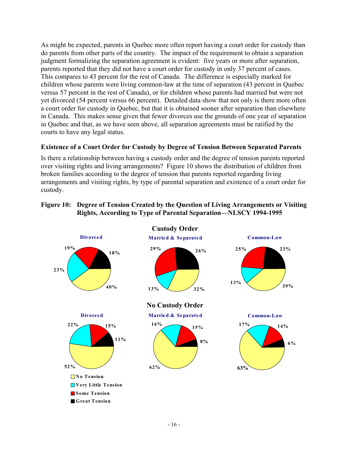As might be expected, parents in Quebec more often report having a court order for custody than do parents from other parts of the country. The impact of the requirement to obtain a separation judgment formalizing the separation agreement is evident: five years or more after separation, parents reported that they did not have a court order for custody in only 37 percent of cases. This compares to 43 percent for the rest of Canada. The difference is especially marked for children whose parents were living common-law at the time of separation (43 percent in Quebec versus 57 percent in the rest of Canada), or for children whose parents had married but were not yet divorced (54 percent versus 66 percent). Detailed data show that not only is there more often a court order for custody in Quebec, but that it is obtained sooner after separation than elsewhere in Canada. This makes sense given that fewer divorces use the grounds of one year of separation in Quebec and that, as we have seen above, all separation agreements must be ratified by the courts to have any legal status.

# **Existence of a Court Order for Custody by Degree of Tension Between Separated Parents**

Is there a relationship between having a custody order and the degree of tension parents reported over visiting rights and living arrangements? Figure 10 shows the distribution of children from broken families according to the degree of tension that parents reported regarding living arrangements and visiting rights, by type of parental separation and existence of a court order for custody.

#### **Figure 10: Degree of Tension Created by the Question of Living Arrangements or Visiting Rights, According to Type of Parental Separation—NLSCY 1994-1995**

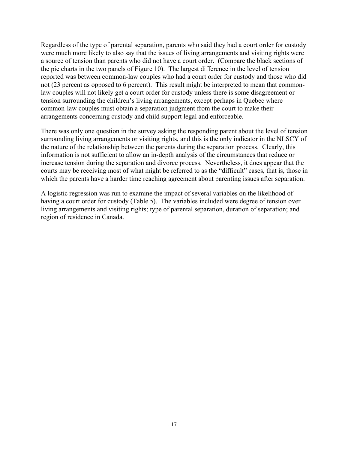Regardless of the type of parental separation, parents who said they had a court order for custody were much more likely to also say that the issues of living arrangements and visiting rights were a source of tension than parents who did not have a court order. (Compare the black sections of the pie charts in the two panels of Figure 10). The largest difference in the level of tension reported was between common-law couples who had a court order for custody and those who did not (23 percent as opposed to 6 percent). This result might be interpreted to mean that commonlaw couples will not likely get a court order for custody unless there is some disagreement or tension surrounding the children's living arrangements, except perhaps in Quebec where common-law couples must obtain a separation judgment from the court to make their arrangements concerning custody and child support legal and enforceable.

There was only one question in the survey asking the responding parent about the level of tension surrounding living arrangements or visiting rights, and this is the only indicator in the NLSCY of the nature of the relationship between the parents during the separation process. Clearly, this information is not sufficient to allow an in-depth analysis of the circumstances that reduce or increase tension during the separation and divorce process. Nevertheless, it does appear that the courts may be receiving most of what might be referred to as the "difficult" cases, that is, those in which the parents have a harder time reaching agreement about parenting issues after separation.

A logistic regression was run to examine the impact of several variables on the likelihood of having a court order for custody (Table 5). The variables included were degree of tension over living arrangements and visiting rights; type of parental separation, duration of separation; and region of residence in Canada.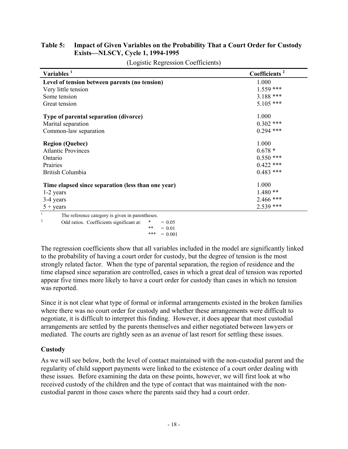# **Table 5: Impact of Given Variables on the Probability That a Court Order for Custody Exists—NLSCY, Cycle 1, 1994-1995**

| Variables $1$                                      | Coefficients <sup>2</sup> |
|----------------------------------------------------|---------------------------|
| Level of tension between parents (no tension)      | 1.000                     |
| Very little tension                                | $1.559$ ***               |
| Some tension                                       | $3.188$ ***               |
| Great tension                                      | $5.105$ ***               |
| Type of parental separation (divorce)              | 1.000                     |
| Marital separation                                 | $0.302$ ***               |
| Common-law separation                              | $0.294$ ***               |
| <b>Region (Quebec)</b>                             | 1.000                     |
| <b>Atlantic Provinces</b>                          | $0.678*$                  |
| Ontario                                            | $0.550$ ***               |
| Prairies                                           | $0.422$ ***               |
| British Columbia                                   | $0.483$ ***               |
| Time elapsed since separation (less than one year) | 1.000                     |
| 1-2 years                                          | $1.480**$                 |
| 3-4 years                                          | 2.466 ***                 |
| $5 + \text{years}$                                 | $2.539$ ***               |

(Logistic Regression Coefficients)

 $\frac{1}{2}$  The reference category is given in parentheses.

<sup>2</sup> Odd ratios. Coefficients significant at:  $* = 0.05$ \*\*  $= 0.01$ 

The regression coefficients show that all variables included in the model are significantly linked to the probability of having a court order for custody, but the degree of tension is the most strongly related factor. When the type of parental separation, the region of residence and the time elapsed since separation are controlled, cases in which a great deal of tension was reported appear five times more likely to have a court order for custody than cases in which no tension was reported.

Since it is not clear what type of formal or informal arrangements existed in the broken families where there was no court order for custody and whether these arrangements were difficult to negotiate, it is difficult to interpret this finding. However, it does appear that most custodial arrangements are settled by the parents themselves and either negotiated between lawyers or mediated. The courts are rightly seen as an avenue of last resort for settling these issues.

# **Custody**

As we will see below, both the level of contact maintained with the non-custodial parent and the regularity of child support payments were linked to the existence of a court order dealing with these issues. Before examining the data on these points, however, we will first look at who received custody of the children and the type of contact that was maintained with the noncustodial parent in those cases where the parents said they had a court order.

<sup>\*\*\* =</sup>  $0.001$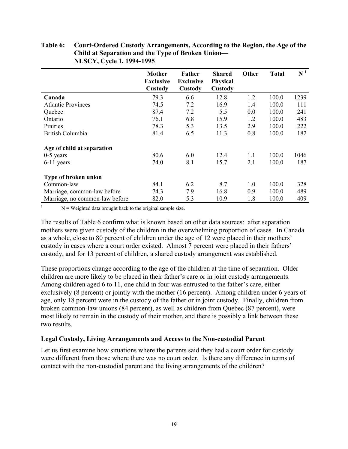# **Table 6: Court-Ordered Custody Arrangements, According to the Region, the Age of the Child at Separation and the Type of Broken Union— NLSCY, Cycle 1, 1994-1995**

|                                | <b>Mother</b><br><b>Exclusive</b><br>Custody | Father<br><b>Exclusive</b><br>Custody | <b>Shared</b><br><b>Physical</b><br>Custody | Other | <b>Total</b> | $N^1$ |
|--------------------------------|----------------------------------------------|---------------------------------------|---------------------------------------------|-------|--------------|-------|
| Canada                         | 79.3                                         | 6.6                                   | 12.8                                        | 1.2   | 100.0        | 1239  |
| <b>Atlantic Provinces</b>      | 74.5                                         | 7.2                                   | 16.9                                        | 1.4   | 100.0        | 111   |
| Quebec                         | 87.4                                         | 7.2                                   | 5.5                                         | 0.0   | 100.0        | 241   |
| Ontario                        | 76.1                                         | 6.8                                   | 15.9                                        | 1.2   | 100.0        | 483   |
| Prairies                       | 78.3                                         | 5.3                                   | 13.5                                        | 2.9   | 100.0        | 222   |
| <b>British Columbia</b>        | 81.4                                         | 6.5                                   | 11.3                                        | 0.8   | 100.0        | 182   |
| Age of child at separation     |                                              |                                       |                                             |       |              |       |
| $0-5$ years                    | 80.6                                         | 6.0                                   | 12.4                                        | 1.1   | 100.0        | 1046  |
| $6-11$ years                   | 74.0                                         | 8.1                                   | 15.7                                        | 2.1   | 100.0        | 187   |
| Type of broken union           |                                              |                                       |                                             |       |              |       |
| Common-law                     | 84.1                                         | 6.2                                   | 8.7                                         | 1.0   | 100.0        | 328   |
| Marriage, common-law before    | 74.3                                         | 7.9                                   | 16.8                                        | 0.9   | 100.0        | 489   |
| Marriage, no common-law before | 82.0                                         | 5.3                                   | 10.9                                        | 1.8   | 100.0        | 409   |

 $N =$  Weighted data brought back to the original sample size.

The results of Table 6 confirm what is known based on other data sources: after separation mothers were given custody of the children in the overwhelming proportion of cases. In Canada as a whole, close to 80 percent of children under the age of 12 were placed in their mothers' custody in cases where a court order existed. Almost 7 percent were placed in their fathers' custody, and for 13 percent of children, a shared custody arrangement was established.

These proportions change according to the age of the children at the time of separation. Older children are more likely to be placed in their father's care or in joint custody arrangements. Among children aged 6 to 11, one child in four was entrusted to the father's care, either exclusively (8 percent) or jointly with the mother (16 percent). Among children under 6 years of age, only 18 percent were in the custody of the father or in joint custody. Finally, children from broken common-law unions (84 percent), as well as children from Quebec (87 percent), were most likely to remain in the custody of their mother, and there is possibly a link between these two results.

#### **Legal Custody, Living Arrangements and Access to the Non-custodial Parent**

Let us first examine how situations where the parents said they had a court order for custody were different from those where there was no court order. Is there any difference in terms of contact with the non-custodial parent and the living arrangements of the children?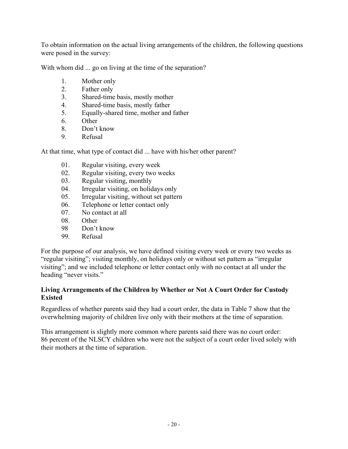To obtain information on the actual living arrangements of the children, the following questions were posed in the survey:

With whom did ... go on living at the time of the separation?

- 1. Mother only
- 2. Father only
- 3. Shared-time basis, mostly mother
- 4. Shared-time basis, mostly father
- 5. Equally-shared time, mother and father
- 6. Other
- 8. Don't know
- 9. Refusal

At that time, what type of contact did ... have with his/her other parent?

- 01. Regular visiting, every week
- 02. Regular visiting, every two weeks
- 03. Regular visiting, monthly
- 04. Irregular visiting, on holidays only
- 05. Irregular visiting, without set pattern
- 06. Telephone or letter contact only
- 07. No contact at all
- 08. Other
- 98 Don't know
- 99. Refusal

For the purpose of our analysis, we have defined visiting every week or every two weeks as "regular visiting"; visiting monthly, on holidays only or without set pattern as "irregular visiting"; and we included telephone or letter contact only with no contact at all under the heading "never visits."

#### **Living Arrangements of the Children by Whether or Not A Court Order for Custody Existed**

Regardless of whether parents said they had a court order, the data in Table 7 show that the overwhelming majority of children live only with their mothers at the time of separation.

This arrangement is slightly more common where parents said there was no court order: 86 percent of the NLSCY children who were not the subject of a court order lived solely with their mothers at the time of separation.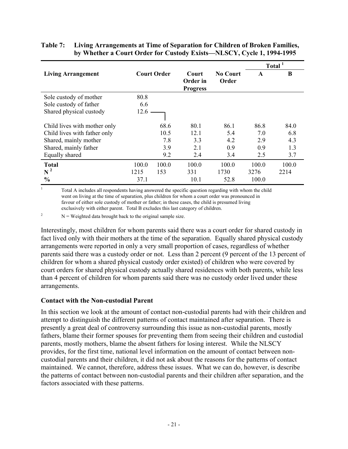|                              |       |                    |                   | Total <sup>1</sup>       |       |       |
|------------------------------|-------|--------------------|-------------------|--------------------------|-------|-------|
| <b>Living Arrangement</b>    |       | <b>Court Order</b> | Court<br>Order in | <b>No Court</b><br>Order | A     | B     |
|                              |       |                    | <b>Progress</b>   |                          |       |       |
| Sole custody of mother       | 80.8  |                    |                   |                          |       |       |
| Sole custody of father       | 6.6   |                    |                   |                          |       |       |
| Shared physical custody      | 12.6  |                    |                   |                          |       |       |
|                              |       |                    |                   |                          |       |       |
| Child lives with mother only |       | 68.6               | 80.1              | 86.1                     | 86.8  | 84.0  |
| Child lives with father only |       | 10.5               | 12.1              | 5.4                      | 7.0   | 6.8   |
| Shared, mainly mother        |       | 7.8                | 3.3               | 4.2                      | 2.9   | 4.3   |
| Shared, mainly father        |       | 3.9                | 2.1               | 0.9                      | 0.9   | 1.3   |
| Equally shared               |       | 9.2                | 2.4               | 3.4                      | 2.5   | 3.7   |
| <b>Total</b>                 | 100.0 | 100.0              | 100.0             | 100.0                    | 100.0 | 100.0 |
| $N^2$                        | 1215  | 153                | 331               | 1730                     | 3276  | 2214  |
| $\frac{0}{0}$                | 37.1  |                    | 10.1              | 52.8                     | 100.0 |       |

# **Table 7: Living Arrangements at Time of Separation for Children of Broken Families, by Whether a Court Order for Custody Exists—NLSCY, Cycle 1, 1994-1995**

<sup>1</sup> Total A includes all respondents having answered the specific question regarding with whom the child went on living at the time of separation, plus children for whom a court order was pronounced in favour of either sole custody of mother or father; in these cases, the child is presumed living exclusively with either parent. Total B excludes this last category of children.

<sup>2</sup> N = Weighted data brought back to the original sample size.

Interestingly, most children for whom parents said there was a court order for shared custody in fact lived only with their mothers at the time of the separation. Equally shared physical custody arrangements were reported in only a very small proportion of cases, regardless of whether parents said there was a custody order or not. Less than 2 percent (9 percent of the 13 percent of children for whom a shared physical custody order existed) of children who were covered by court orders for shared physical custody actually shared residences with both parents, while less than 4 percent of children for whom parents said there was no custody order lived under these arrangements.

#### **Contact with the Non-custodial Parent**

In this section we look at the amount of contact non-custodial parents had with their children and attempt to distinguish the different patterns of contact maintained after separation. There is presently a great deal of controversy surrounding this issue as non-custodial parents, mostly fathers, blame their former spouses for preventing them from seeing their children and custodial parents, mostly mothers, blame the absent fathers for losing interest. While the NLSCY provides, for the first time, national level information on the amount of contact between noncustodial parents and their children, it did not ask about the reasons for the patterns of contact maintained. We cannot, therefore, address these issues. What we can do, however, is describe the patterns of contact between non-custodial parents and their children after separation, and the factors associated with these patterns.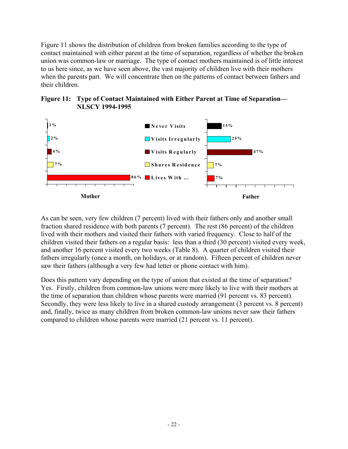Figure 11 shows the distribution of children from broken families according to the type of contact maintained with either parent at the time of separation, regardless of whether the broken union was common-law or marriage. The type of contact mothers maintained is of little interest to us here since, as we have seen above, the vast majority of children live with their mothers when the parents part. We will concentrate then on the patterns of contact between fathers and their children.





As can be seen, very few children (7 percent) lived with their fathers only and another small fraction shared residence with both parents (7 percent). The rest (86 percent) of the children lived with their mothers and visited their fathers with varied frequency. Close to half of the children visited their fathers on a regular basis: less than a third (30 percent) visited every week, and another 16 percent visited every two weeks (Table 8). A quarter of children visited their fathers irregularly (once a month, on holidays, or at random). Fifteen percent of children never saw their fathers (although a very few had letter or phone contact with him).

Does this pattern vary depending on the type of union that existed at the time of separation? Yes. Firstly, children from common-law unions were more likely to live with their mothers at the time of separation than children whose parents were married (91 percent vs. 83 percent). Secondly, they were less likely to live in a shared custody arrangement (3 percent vs. 8 percent) and, finally, twice as many children from broken common-law unions never saw their fathers compared to children whose parents were married (21 percent vs. 11 percent).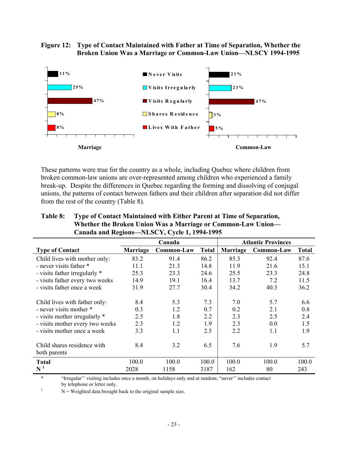#### **Figure 12: Type of Contact Maintained with Father at Time of Separation, Whether the Broken Union Was a Marriage or Common-Law Union—NLSCY 1994-1995**



These patterns were true for the country as a whole, including Quebec where children from broken common-law unions are over-represented among children who experienced a family break-up. Despite the differences in Quebec regarding the forming and dissolving of conjugal unions, the patterns of contact between fathers and their children after separation did not differ from the rest of the country (Table 8).

| Table 8: | Type of Contact Maintained with Either Parent at Time of Separation, |
|----------|----------------------------------------------------------------------|
|          | Whether the Broken Union Was a Marriage or Common-Law Union—         |
|          | Canada and Regions-NLSCY, Cycle 1, 1994-1995                         |

|                                             |                 | Canada     |              | <b>Atlantic Provinces</b> |            |              |
|---------------------------------------------|-----------------|------------|--------------|---------------------------|------------|--------------|
| <b>Type of Contact</b>                      | <b>Marriage</b> | Common-Law | <b>Total</b> | <b>Marriage</b>           | Common-Law | <b>Total</b> |
| Child lives with mother only:               | 83.2            | 91.4       | 86.2         | 85.3                      | 92.4       | 87.6         |
| - never visits father *                     | 11.1            | 21.3       | 14.8         | 11.9                      | 21.6       | 15.1         |
| - visits father irregularly *               | 25.3            | 23.3       | 24.6         | 25.5                      | 23.3       | 24.8         |
| - visits father every two weeks             | 14.9            | 19.1       | 16.4         | 13.7                      | 7.2        | 11.5         |
| - visits father once a week                 | 31.9            | 27.7       | 30.4         | 34.2                      | 40.3       | 36.2         |
|                                             |                 |            |              |                           |            |              |
| Child lives with father only:               | 8.4             | 5.3        | 7.3          | 7.0                       | 5.7        | 6.6          |
| - never visits mother *                     | 0.3             | 1.2        | 0.7          | 0.2                       | 2.1        | 0.8          |
| - visits mother irregularly *               | 2.5             | 1.8        | 2.2          | 2.3                       | 2.5        | 2.4          |
| - visits mother every two weeks             | 2.3             | 1.2        | 1.9          | 2.3                       | 0.0        | 1.5          |
| - visits mother once a week                 | 3.3             | 1.1        | 2.5          | 2.2                       | 1.1        | 1.9          |
| Child shares residence with<br>both parents | 8.4             | 3.2        | 6.5          | 7.6                       | 1.9        | 5.7          |
| <b>Total</b>                                | 100.0           | 100.0      | 100.0        | 100.0                     | 100.0      | 100.0        |
| $\mathbf{N}^{\,1}$                          | 2028            | 1158       | 3187         | 162                       | 80         | 243          |

\* "Irregular'' visiting includes once a month, on holidays only and at random; "never'' includes contact by telephone or letter only.

 $N =$  Weighted data brought back to the original sample size.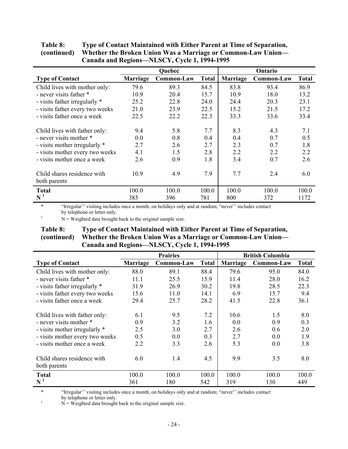|                                 |                 | <b>Quebec</b>     |              |          | Ontario    |              |
|---------------------------------|-----------------|-------------------|--------------|----------|------------|--------------|
| <b>Type of Contact</b>          | <b>Marriage</b> | <b>Common-Law</b> | <b>Total</b> | Marriage | Common-Law | <b>Total</b> |
| Child lives with mother only:   | 79.6            | 89.3              | 84.5         | 83.8     | 93.4       | 86.9         |
| - never visits father *         | 10.9            | 20.4              | 15.7         | 10.9     | 18.0       | 13.2         |
| - visits father irregularly *   | 25.2            | 22.8              | 24.0         | 24.4     | 20.3       | 23.1         |
| - visits father every two weeks | 21.0            | 23.9              | 22.5         | 15.2     | 21.5       | 17.2         |
| - visits father once a week     | 22.5            | 22.2              | 22.3         | 33.3     | 33.6       | 33.4         |
|                                 |                 |                   |              |          |            |              |
| Child lives with father only:   | 9.4             | 5.8               | 7.7          | 8.3      | 4.3        | 7.1          |
| - never visits mother *         | 0.0             | 0.8               | 0.4          | 0.4      | 0.7        | 0.5          |
| - visits mother irregularly *   | 2.7             | 2.6               | 2.7          | 2.3      | 0.7        | 1.8          |
| - visits mother every two weeks | 4.1             | 1.5               | 2.8          | 2.2      | 2.2        | 2.2          |
| - visits mother once a week     | 2.6             | 0.9               | 1.8          | 3.4      | 0.7        | 2.6          |
|                                 |                 |                   |              |          |            |              |
| Child shares residence with     | 10.9            | 4.9               | 7.9          | 7.7      | 2.4        | 6.0          |
| both parents                    |                 |                   |              |          |            |              |
| <b>Total</b>                    | 100.0           | 100.0             | 100.0        | 100.0    | 100.0      | 100.0        |
| $\mathbf{N}^{\,1}$              | 385             | 396               | 781          | 800      | 372        | 1172         |

| <b>Table 8:</b> | Type of Contact Maintained with Either Parent at Time of Separation,     |
|-----------------|--------------------------------------------------------------------------|
|                 | (continued) Whether the Broken Union Was a Marriage or Common-Law Union— |
|                 | Canada and Regions-NLSCY, Cycle 1, 1994-1995                             |

\* "Irregular'' visiting includes once a month, on holidays only and at random; "never'' includes contact by telephone or letter only.

 $N =$  Weighted data brought back to the original sample size.

#### **Table 8: Type of Contact Maintained with Either Parent at Time of Separation, (continued) Whether the Broken Union Was a Marriage or Common-Law Union— Canada and Regions—NLSCY, Cycle 1, 1994-1995**

|                                             |          | <b>Prairies</b>   | <b>British Columbia</b> |          |            |       |
|---------------------------------------------|----------|-------------------|-------------------------|----------|------------|-------|
| <b>Type of Contact</b>                      | Marriage | <b>Common-Law</b> | <b>Total</b>            | Marriage | Common-Law | Total |
| Child lives with mother only:               | 88.0     | 89.1              | 88.4                    | 79.6     | 95.0       | 84.0  |
| - never visits father *                     | 11.1     | 25.5              | 15.9                    | 11.4     | 28.0       | 16.2  |
| - visits father irregularly *               | 31.9     | 26.9              | 30.2                    | 19.8     | 28.5       | 22.3  |
| - visits father every two weeks             | 15.6     | 11.0              | 14.1                    | 6.9      | 15.7       | 9.4   |
| - visits father once a week                 | 29.4     | 25.7              | 28.2                    | 41.5     | 22.8       | 36.1  |
|                                             |          |                   |                         |          |            |       |
| Child lives with father only:               | 6.1      | 9.5               | 7.2                     | 10.6     | 1.5        | 8.0   |
| - never visits mother *                     | 0.9      | 3.2               | 1.6                     | 0.0      | 0.9        | 0.3   |
| - visits mother irregularly *               | 2.5      | 3.0               | 2.7                     | 2.6      | 0.6        | 2.0   |
| - visits mother every two weeks             | 0.5      | 0.0               | 0.3                     | 2.7      | 0.0        | 1.9   |
| - visits mother once a week                 | 2.2      | 3.3               | 2.6                     | 5.3      | 0.0        | 3.8   |
| Child shares residence with<br>both parents | 6.0      | 1.4               | 4.5                     | 9.9      | 3.5        | 8.0   |
| <b>Total</b>                                | 100.0    | 100.0             | 100.0                   | 100.0    | 100.0      | 100.0 |
| $\mathbf{N}^{\,1}$                          | 361      | 180               | 542                     | 319      | 130        | 449   |

\* "Irregular'' visiting includes once a month, on holidays only and at random; "never'' includes contact

by telephone or letter only.<br>  $N =$  Weighted data brought back to the original sample size.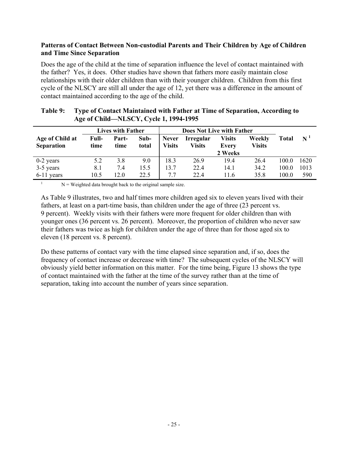# **Patterns of Contact Between Non-custodial Parents and Their Children by Age of Children and Time Since Separation**

Does the age of the child at the time of separation influence the level of contact maintained with the father? Yes, it does. Other studies have shown that fathers more easily maintain close relationships with their older children than with their younger children. Children from this first cycle of the NLSCY are still all under the age of 12, yet there was a difference in the amount of contact maintained according to the age of the child.

|                                      |               | <b>Lives with Father</b> |               | <b>Does Not Live with Father</b> |                     |                                   |                         |       |       |
|--------------------------------------|---------------|--------------------------|---------------|----------------------------------|---------------------|-----------------------------------|-------------------------|-------|-------|
| Age of Child at<br><b>Separation</b> | Full-<br>time | Part-<br>time            | Sub-<br>total | <b>Never</b><br>Visits           | Irregular<br>Visits | <b>Visits</b><br>Every<br>2 Weeks | Weekly<br><b>Visits</b> | Total | $N^1$ |
| $0-2$ years                          | 5.2           | 3.8                      | 9.0           | 18.3                             | 26.9                | 19.4                              | 26.4                    | 100.0 | 1620  |
| 3-5 years                            | 8.1           | 7.4                      | 15.5          | 13.7                             | 22.4                | 14.1                              | 34.2                    | 100.0 | 1013  |
| 6-11 years                           | 10.5          | 12.0                     | 22.5          | 7.7                              | 22.4                | 11.6                              | 35.8                    | 100.0 | 590   |

#### **Table 9: Type of Contact Maintained with Father at Time of Separation, According to Age of Child—NLSCY, Cycle 1, 1994-1995**

 $N =$  Weighted data brought back to the original sample size.

As Table 9 illustrates, two and half times more children aged six to eleven years lived with their fathers, at least on a part-time basis, than children under the age of three (23 percent vs. 9 percent). Weekly visits with their fathers were more frequent for older children than with younger ones (36 percent vs. 26 percent). Moreover, the proportion of children who never saw their fathers was twice as high for children under the age of three than for those aged six to eleven (18 percent vs. 8 percent).

Do these patterns of contact vary with the time elapsed since separation and, if so, does the frequency of contact increase or decrease with time? The subsequent cycles of the NLSCY will obviously yield better information on this matter. For the time being, Figure 13 shows the type of contact maintained with the father at the time of the survey rather than at the time of separation, taking into account the number of years since separation.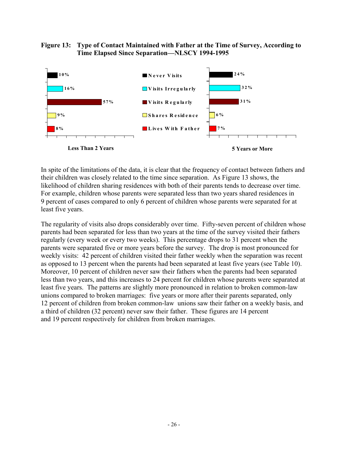#### **Figure 13: Type of Contact Maintained with Father at the Time of Survey, According to Time Elapsed Since Separation—NLSCY 1994-1995**



In spite of the limitations of the data, it is clear that the frequency of contact between fathers and their children was closely related to the time since separation. As Figure 13 shows, the likelihood of children sharing residences with both of their parents tends to decrease over time. For example, children whose parents were separated less than two years shared residences in 9 percent of cases compared to only 6 percent of children whose parents were separated for at least five years.

The regularity of visits also drops considerably over time. Fifty-seven percent of children whose parents had been separated for less than two years at the time of the survey visited their fathers regularly (every week or every two weeks). This percentage drops to 31 percent when the parents were separated five or more years before the survey. The drop is most pronounced for weekly visits: 42 percent of children visited their father weekly when the separation was recent as opposed to 13 percent when the parents had been separated at least five years (see Table 10). Moreover, 10 percent of children never saw their fathers when the parents had been separated less than two years, and this increases to 24 percent for children whose parents were separated at least five years. The patterns are slightly more pronounced in relation to broken common-law unions compared to broken marriages: five years or more after their parents separated, only 12 percent of children from broken common-law unions saw their father on a weekly basis, and a third of children (32 percent) never saw their father. These figures are 14 percent and 19 percent respectively for children from broken marriages.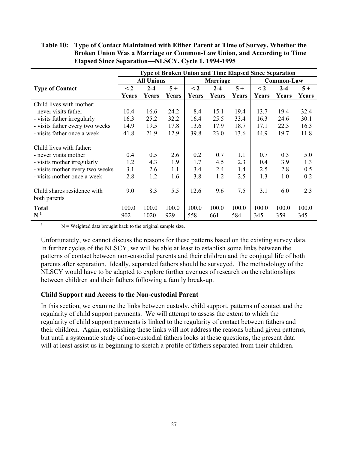|                                             |          |                   |       |          | <b>Type of Broken Union and Time Elapsed Since Separation</b> |       |          |            |       |
|---------------------------------------------|----------|-------------------|-------|----------|---------------------------------------------------------------|-------|----------|------------|-------|
|                                             |          | <b>All Unions</b> |       |          | Marriage                                                      |       |          | Common-Law |       |
| <b>Type of Contact</b>                      | $\leq$ 2 | $2 - 4$           | $5+$  | $\leq$ 2 | $2 - 4$                                                       | $5+$  | $\leq$ 2 | $2 - 4$    | $5+$  |
|                                             | Years    | Years             | Years | Years    | Years                                                         | Years | Years    | Years      | Years |
| Child lives with mother:                    |          |                   |       |          |                                                               |       |          |            |       |
| - never visits father                       | 10.4     | 16.6              | 24.2  | 8.4      | 15.1                                                          | 19.4  | 13.7     | 19.4       | 32.4  |
| - visits father irregularly                 | 16.3     | 25.2              | 32.2  | 16.4     | 25.5                                                          | 33.4  | 16.3     | 24.6       | 30.1  |
| - visits father every two weeks             | 14.9     | 19.5              | 17.8  | 13.6     | 17.9                                                          | 18.7  | 17.1     | 22.3       | 16.3  |
| - visits father once a week                 | 41.8     | 21.9              | 12.9  | 39.8     | 23.0                                                          | 13.6  | 44.9     | 19.7       | 11.8  |
| Child lives with father:                    |          |                   |       |          |                                                               |       |          |            |       |
| - never visits mother                       | 0.4      | 0.5               | 2.6   | 0.2      | 0.7                                                           | 1.1   | 0.7      | 0.3        | 5.0   |
| - visits mother irregularly                 | 1.2      | 4.3               | 1.9   | 1.7      | 4.5                                                           | 2.3   | 0.4      | 3.9        | 1.3   |
| - visits mother every two weeks             | 3.1      | 2.6               | 1.1   | 3.4      | 2.4                                                           | 1.4   | 2.5      | 2.8        | 0.5   |
| - visits mother once a week                 | 2.8      | 1.2               | 1.6   | 3.8      | 1.2                                                           | 2.5   | 1.3      | 1.0        | 0.2   |
| Child shares residence with<br>both parents | 9.0      | 8.3               | 5.5   | 12.6     | 9.6                                                           | 7.5   | 3.1      | 6.0        | 2.3   |
| <b>Total</b>                                | 100.0    | 100.0             | 100.0 | 100.0    | 100.0                                                         | 100.0 | 100.0    | 100.0      | 100.0 |
| $\mathbf{N}^{\,1}$                          | 902      | 1020              | 929   | 558      | 661                                                           | 584   | 345      | 359        | 345   |

**Table 10: Type of Contact Maintained with Either Parent at Time of Survey, Whether the Broken Union Was a Marriage or Common-Law Union, and According to Time Elapsed Since Separation—NLSCY, Cycle 1, 1994-1995**

 $N =$  Weighted data brought back to the original sample size.

Unfortunately, we cannot discuss the reasons for these patterns based on the existing survey data. In further cycles of the NLSCY, we will be able at least to establish some links between the patterns of contact between non-custodial parents and their children and the conjugal life of both parents after separation. Ideally, separated fathers should be surveyed. The methodology of the NLSCY would have to be adapted to explore further avenues of research on the relationships between children and their fathers following a family break-up.

#### **Child Support and Access to the Non-custodial Parent**

In this section, we examine the links between custody, child support, patterns of contact and the regularity of child support payments. We will attempt to assess the extent to which the regularity of child support payments is linked to the regularity of contact between fathers and their children. Again, establishing these links will not address the reasons behind given patterns, but until a systematic study of non-custodial fathers looks at these questions, the present data will at least assist us in beginning to sketch a profile of fathers separated from their children.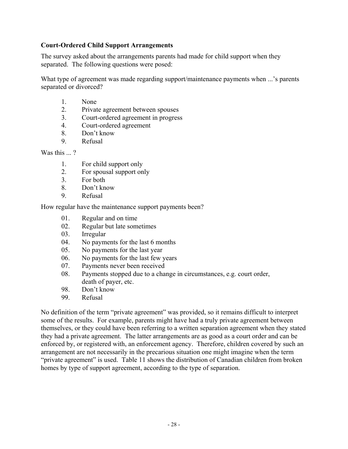# **Court-Ordered Child Support Arrangements**

The survey asked about the arrangements parents had made for child support when they separated. The following questions were posed:

What type of agreement was made regarding support/maintenance payments when ...'s parents separated or divorced?

- 1. None
- 2. Private agreement between spouses
- 3. Court-ordered agreement in progress
- 4. Court-ordered agreement
- 8. Don't know
- 9. Refusal

Was this ...?

- 1. For child support only
- 2. For spousal support only
- 3. For both
- 8. Don't know
- 9. Refusal

How regular have the maintenance support payments been?

- 01. Regular and on time
- 02. Regular but late sometimes
- 03. Irregular
- 04. No payments for the last 6 months
- 05. No payments for the last year
- 06. No payments for the last few years
- 07. Payments never been received
- 08. Payments stopped due to a change in circumstances, e.g. court order, death of payer, etc.
- 98. Don't know
- 99. Refusal

No definition of the term "private agreement" was provided, so it remains difficult to interpret some of the results. For example, parents might have had a truly private agreement between themselves, or they could have been referring to a written separation agreement when they stated they had a private agreement. The latter arrangements are as good as a court order and can be enforced by, or registered with, an enforcement agency. Therefore, children covered by such an arrangement are not necessarily in the precarious situation one might imagine when the term "private agreement" is used. Table 11 shows the distribution of Canadian children from broken homes by type of support agreement, according to the type of separation.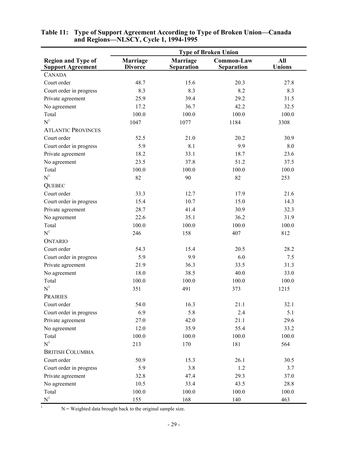|                                                       |                                   |                               | <b>Type of Broken Union</b> |                      |
|-------------------------------------------------------|-----------------------------------|-------------------------------|-----------------------------|----------------------|
| <b>Region and Type of</b><br><b>Support Agreement</b> | <b>Marriage</b><br><b>Divorce</b> | Marriage<br><b>Separation</b> | Common-Law<br>Separation    | All<br><b>Unions</b> |
| <b>CANADA</b>                                         |                                   |                               |                             |                      |
| Court order                                           | 48.7                              | 15.6                          | 20.3                        | 27.8                 |
| Court order in progress                               | 8.3                               | 8.3                           | 8.2                         | 8.3                  |
| Private agreement                                     | 25.9                              | 39.4                          | 29.2                        | 31.5                 |
| No agreement                                          | 17.2                              | 36.7                          | 42.2                        | 32.5                 |
| Total                                                 | 100.0                             | 100.0                         | 100.0                       | 100.0                |
| N <sup>1</sup>                                        | 1047                              | 1077                          | 1184                        | 3308                 |
| <b>ATLANTIC PROVINCES</b>                             |                                   |                               |                             |                      |
| Court order                                           | 52.5                              | 21.0                          | 20.2                        | 30.9                 |
| Court order in progress                               | 5.9                               | 8.1                           | 9.9                         | 8.0                  |
| Private agreement                                     | 18.2                              | 33.1                          | 18.7                        | 23.6                 |
| No agreement                                          | 23.5                              | 37.8                          | 51.2                        | 37.5                 |
| Total                                                 | 100.0                             | 100.0                         | 100.0                       | 100.0                |
| N <sup>1</sup>                                        | 82                                | 90                            | 82                          | 253                  |
| <b>QUEBEC</b>                                         |                                   |                               |                             |                      |
| Court order                                           | 33.3                              | 12.7                          | 17.9                        | 21.6                 |
| Court order in progress                               | 15.4                              | 10.7                          | 15.0                        | 14.3                 |
| Private agreement                                     | 28.7                              | 41.4                          | 30.9                        | 32.3                 |
| No agreement                                          | 22.6                              | 35.1                          | 36.2                        | 31.9                 |
| Total                                                 | 100.0                             | 100.0                         | 100.0                       | 100.0                |
| N <sup>1</sup>                                        | 246                               | 158                           | 407                         | 812                  |
| <b>ONTARIO</b>                                        |                                   |                               |                             |                      |
| Court order                                           | 54.3                              | 15.4                          | 20.5                        | 28.2                 |
| Court order in progress                               | 5.9                               | 9.9                           | 6.0                         | 7.5                  |
| Private agreement                                     | 21.9                              | 36.3                          | 33.5                        | 31.3                 |
| No agreement                                          | 18.0                              | 38.5                          | 40.0                        | 33.0                 |
| Total                                                 | 100.0                             | 100.0                         | 100.0                       | 100.0                |
| N <sup>1</sup>                                        | 351                               | 491                           | 373                         | 1215                 |
| <b>PRAIRIES</b>                                       |                                   |                               |                             |                      |
| Court order                                           | 54.0                              | 16.3                          | 21.1                        | 32.1                 |
| Court order in progress                               | 6.9                               | 5.8                           | 2.4                         | 5.1                  |
| Private agreement                                     | 27.0                              | 42.0                          | 21.1                        | 29.6                 |
| No agreement                                          | 12.0                              | 35.9                          | 55.4                        | 33.2                 |
| Total                                                 | 100.0                             | 100.0                         | 100.0                       | 100.0                |
| N <sup>1</sup>                                        | 213                               | 170                           | 181                         | 564                  |
| <b>BRITISH COLUMBIA</b>                               |                                   |                               |                             |                      |
| Court order                                           | 50.9                              | 15.3                          | 26.1                        | 30.5                 |
| Court order in progress                               | 5.9                               | 3.8                           | 1.2                         | 3.7                  |
| Private agreement                                     | 32.8                              | 47.4                          | 29.3                        | 37.0                 |
| No agreement                                          | 10.5                              | 33.4                          | 43.5                        | 28.8                 |
| Total                                                 | 100.0                             | 100.0                         | 100.0                       | 100.0                |
| N <sup>1</sup>                                        | 155                               | 168                           | 140                         | 463                  |

#### **Table 11: Type of Support Agreement According to Type of Broken Union—Canada and Regions—NLSCY, Cycle 1, 1994-1995**

 $1$  N = Weighted data brought back to the original sample size.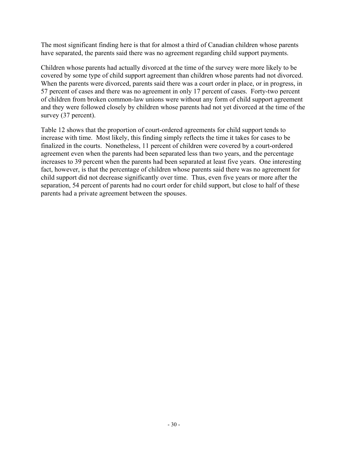The most significant finding here is that for almost a third of Canadian children whose parents have separated, the parents said there was no agreement regarding child support payments.

Children whose parents had actually divorced at the time of the survey were more likely to be covered by some type of child support agreement than children whose parents had not divorced. When the parents were divorced, parents said there was a court order in place, or in progress, in 57 percent of cases and there was no agreement in only 17 percent of cases. Forty-two percent of children from broken common-law unions were without any form of child support agreement and they were followed closely by children whose parents had not yet divorced at the time of the survey (37 percent).

Table 12 shows that the proportion of court-ordered agreements for child support tends to increase with time. Most likely, this finding simply reflects the time it takes for cases to be finalized in the courts. Nonetheless, 11 percent of children were covered by a court-ordered agreement even when the parents had been separated less than two years, and the percentage increases to 39 percent when the parents had been separated at least five years. One interesting fact, however, is that the percentage of children whose parents said there was no agreement for child support did not decrease significantly over time. Thus, even five years or more after the separation, 54 percent of parents had no court order for child support, but close to half of these parents had a private agreement between the spouses.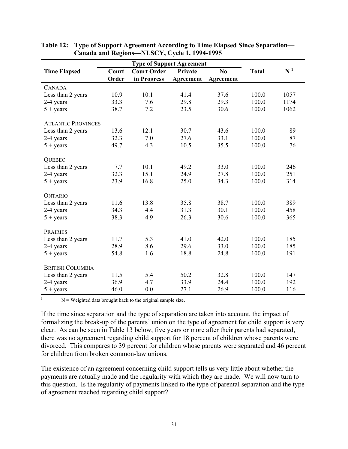|                           |       | <b>Type of Support Agreement</b> |           |           |              |       |
|---------------------------|-------|----------------------------------|-----------|-----------|--------------|-------|
| <b>Time Elapsed</b>       | Court | <b>Court Order</b>               | Private   | No        | <b>Total</b> | $N^1$ |
|                           | Order | in Progress                      | Agreement | Agreement |              |       |
| <b>CANADA</b>             |       |                                  |           |           |              |       |
| Less than 2 years         | 10.9  | 10.1                             | 41.4      | 37.6      | 100.0        | 1057  |
| 2-4 years                 | 33.3  | 7.6                              | 29.8      | 29.3      | 100.0        | 1174  |
| $5 + \text{years}$        | 38.7  | 7.2                              | 23.5      | 30.6      | 100.0        | 1062  |
| <b>ATLANTIC PROVINCES</b> |       |                                  |           |           |              |       |
| Less than 2 years         | 13.6  | 12.1                             | 30.7      | 43.6      | 100.0        | 89    |
| 2-4 years                 | 32.3  | 7.0                              | 27.6      | 33.1      | 100.0        | 87    |
| $5 + \text{years}$        | 49.7  | 4.3                              | 10.5      | 35.5      | 100.0        | 76    |
|                           |       |                                  |           |           |              |       |
| <b>QUEBEC</b>             |       |                                  |           |           |              |       |
| Less than 2 years         | 7.7   | 10.1                             | 49.2      | 33.0      | 100.0        | 246   |
| 2-4 years                 | 32.3  | 15.1                             | 24.9      | 27.8      | 100.0        | 251   |
| $5 + \text{years}$        | 23.9  | 16.8                             | 25.0      | 34.3      | 100.0        | 314   |
| <b>ONTARIO</b>            |       |                                  |           |           |              |       |
| Less than 2 years         | 11.6  | 13.8                             | 35.8      | 38.7      | 100.0        | 389   |
| 2-4 years                 | 34.3  | 4.4                              | 31.3      | 30.1      | 100.0        | 458   |
| $5 + \text{years}$        | 38.3  | 4.9                              | 26.3      | 30.6      | 100.0        | 365   |
|                           |       |                                  |           |           |              |       |
| <b>PRAIRIES</b>           |       |                                  |           |           |              |       |
| Less than 2 years         | 11.7  | 5.3                              | 41.0      | 42.0      | 100.0        | 185   |
| 2-4 years                 | 28.9  | 8.6                              | 29.6      | 33.0      | 100.0        | 185   |
| $5 + \text{years}$        | 54.8  | 1.6                              | 18.8      | 24.8      | 100.0        | 191   |
|                           |       |                                  |           |           |              |       |
| <b>BRITISH COLUMBIA</b>   |       |                                  |           |           |              |       |
| Less than 2 years         | 11.5  | 5.4                              | 50.2      | 32.8      | 100.0        | 147   |
| 2-4 years                 | 36.9  | 4.7                              | 33.9      | 24.4      | 100.0        | 192   |
| $5 + \text{years}$        | 46.0  | 0.0                              | 27.1      | 26.9      | 100.0        | 116   |

| Table 12: Type of Support Agreement According to Time Elapsed Since Separation— |
|---------------------------------------------------------------------------------|
| Canada and Regions-NLSCY, Cycle 1, 1994-1995                                    |

 $N =$  Weighted data brought back to the original sample size.

If the time since separation and the type of separation are taken into account, the impact of formalizing the break-up of the parents' union on the type of agreement for child support is very clear. As can be seen in Table 13 below, five years or more after their parents had separated, there was no agreement regarding child support for 18 percent of children whose parents were divorced. This compares to 39 percent for children whose parents were separated and 46 percent for children from broken common-law unions.

The existence of an agreement concerning child support tells us very little about whether the payments are actually made and the regularity with which they are made. We will now turn to this question. Is the regularity of payments linked to the type of parental separation and the type of agreement reached regarding child support?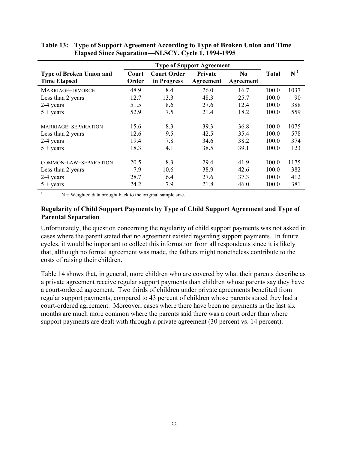|                                                        |                |                                   | <b>Type of Support Agreement</b> |                             |              |       |
|--------------------------------------------------------|----------------|-----------------------------------|----------------------------------|-----------------------------|--------------|-------|
| <b>Type of Broken Union and</b><br><b>Time Elapsed</b> | Court<br>Order | <b>Court Order</b><br>in Progress | <b>Private</b><br>Agreement      | N <sub>0</sub><br>Agreement | <b>Total</b> | $N^1$ |
| MARRIAGE-DIVORCE                                       | 48.9           | 8.4                               | 26.0                             | 16.7                        | 100.0        | 1037  |
| Less than 2 years                                      | 12.7           | 13.3                              | 48.3                             | 25.7                        | 100.0        | 90    |
| 2-4 years                                              | 51.5           | 8.6                               | 27.6                             | 12.4                        | 100.0        | 388   |
| $5 + \text{years}$                                     | 52.9           | 7.5                               | 21.4                             | 18.2                        | 100.0        | 559   |
| MARRIAGE-SEPARATION                                    | 15.6           | 8.3                               | 39.3                             | 36.8                        | 100.0        | 1075  |
| Less than 2 years                                      | 12.6           | 9.5                               | 42.5                             | 35.4                        | 100.0        | 578   |
| 2-4 years                                              | 19.4           | 7.8                               | 34.6                             | 38.2                        | 100.0        | 374   |
| $5 + \text{years}$                                     | 18.3           | 4.1                               | 38.5                             | 39.1                        | 100.0        | 123   |
| COMMON-LAW-SEPARATION                                  | 20.5           | 8.3                               | 29.4                             | 41.9                        | 100.0        | 1175  |
| Less than 2 years                                      | 7.9            | 10.6                              | 38.9                             | 42.6                        | 100.0        | 382   |
| 2-4 years                                              | 28.7           | 6.4                               | 27.6                             | 37.3                        | 100.0        | 412   |
| $5 + \text{years}$                                     | 24.2           | 7.9                               | 21.8                             | 46.0                        | 100.0        | 381   |

**Table 13: Type of Support Agreement According to Type of Broken Union and Time Elapsed Since Separation—NLSCY, Cycle 1, 1994-1995**

 $N =$  Weighted data brought back to the original sample size.

#### **Regularity of Child Support Payments by Type of Child Support Agreement and Type of Parental Separation**

Unfortunately, the question concerning the regularity of child support payments was not asked in cases where the parent stated that no agreement existed regarding support payments. In future cycles, it would be important to collect this information from all respondents since it is likely that, although no formal agreement was made, the fathers might nonetheless contribute to the costs of raising their children.

Table 14 shows that, in general, more children who are covered by what their parents describe as a private agreement receive regular support payments than children whose parents say they have a court-ordered agreement. Two thirds of children under private agreements benefited from regular support payments, compared to 43 percent of children whose parents stated they had a court-ordered agreement. Moreover, cases where there have been no payments in the last six months are much more common where the parents said there was a court order than where support payments are dealt with through a private agreement (30 percent vs. 14 percent).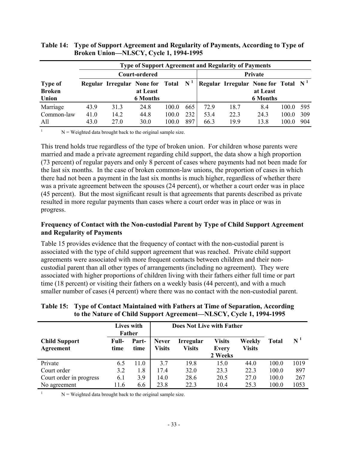|                                          |                      |                      | <b>Type of Support Agreement and Regularity of Payments</b>          |                         |                   |                      |                                       |                             |                         |                   |
|------------------------------------------|----------------------|----------------------|----------------------------------------------------------------------|-------------------------|-------------------|----------------------|---------------------------------------|-----------------------------|-------------------------|-------------------|
|                                          |                      |                      | Court-ordered                                                        |                         |                   |                      |                                       | Private                     |                         |                   |
| <b>Type of</b><br><b>Broken</b><br>Union |                      |                      | Regular Irregular None for Total $N1$<br>at Least<br><b>6 Months</b> |                         |                   |                      | Regular Irregular None for Total $N1$ | at Least<br><b>6 Months</b> |                         |                   |
| Marriage<br>Common-law<br>All            | 43.9<br>41.0<br>43.0 | 31.3<br>14.2<br>27.0 | 24.8<br>44.8<br>30.0                                                 | 100.0<br>100.0<br>100.0 | 665<br>232<br>897 | 72.9<br>53.4<br>66.3 | 18.7<br>22.3<br>19.9                  | 8.4<br>24.3<br>13.8         | 100.0<br>100.0<br>100.0 | 595<br>309<br>904 |

#### **Table 14: Type of Support Agreement and Regularity of Payments, According to Type of Broken Union—NLSCY, Cycle 1, 1994-1995**

 $N =$  Weighted data brought back to the original sample size.

This trend holds true regardless of the type of broken union. For children whose parents were married and made a private agreement regarding child support, the data show a high proportion (73 percent) of regular payers and only 8 percent of cases where payments had not been made for the last six months. In the case of broken common-law unions, the proportion of cases in which there had not been a payment in the last six months is much higher, regardless of whether there was a private agreement between the spouses (24 percent), or whether a court order was in place (45 percent). But the most significant result is that agreements that parents described as private resulted in more regular payments than cases where a court order was in place or was in progress.

#### **Frequency of Contact with the Non-custodial Parent by Type of Child Support Agreement and Regularity of Payments**

Table 15 provides evidence that the frequency of contact with the non-custodial parent is associated with the type of child support agreement that was reached. Private child support agreements were associated with more frequent contacts between children and their noncustodial parent than all other types of arrangements (including no agreement). They were associated with higher proportions of children living with their fathers either full time or part time (18 percent) or visiting their fathers on a weekly basis (44 percent), and with a much smaller number of cases (4 percent) where there was no contact with the non-custodial parent.

|                                   |               | Lives with<br>Father |                               | <b>Does Not Live with Father</b>  |                                          |                         |       |                    |
|-----------------------------------|---------------|----------------------|-------------------------------|-----------------------------------|------------------------------------------|-------------------------|-------|--------------------|
| <b>Child Support</b><br>Agreement | Full-<br>time | Part-<br>time        | <b>Never</b><br><b>Visits</b> | <b>Irregular</b><br><b>Visits</b> | <b>Visits</b><br><b>Every</b><br>2 Weeks | Weekly<br><b>Visits</b> | Total | $\mathbf{N}^{\,1}$ |
| Private                           | 6.5           | 11.0                 | 37                            | 19.8                              | 15.0                                     | 44.0                    | 100.0 | 1019               |
| Court order                       | 3.2           | 1.8                  | 17.4                          | 32.0                              | 23.3                                     | 22.3                    | 100.0 | 897                |
| Court order in progress           | 6.1           | 3.9                  | 14.0                          | 28.6                              | 20.5                                     | 27.0                    | 100.0 | 267                |
| No agreement                      | 11.6          | 6.6                  | 23.8                          | 22.3                              | 10.4                                     | 25.3                    | 100.0 | 1053               |

#### **Table 15: Type of Contact Maintained with Fathers at Time of Separation, According to the Nature of Child Support Agreement—NLSCY, Cycle 1, 1994-1995**

 $N =$  Weighted data brought back to the original sample size.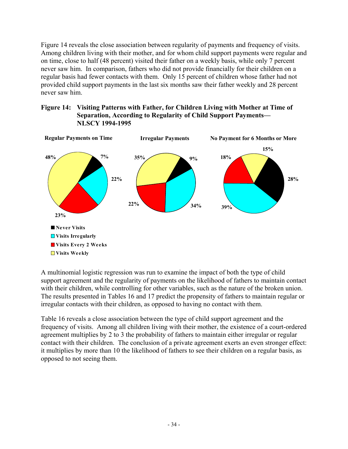Figure 14 reveals the close association between regularity of payments and frequency of visits. Among children living with their mother, and for whom child support payments were regular and on time, close to half (48 percent) visited their father on a weekly basis, while only 7 percent never saw him. In comparison, fathers who did not provide financially for their children on a regular basis had fewer contacts with them. Only 15 percent of children whose father had not provided child support payments in the last six months saw their father weekly and 28 percent never saw him.

#### **Figure 14: Visiting Patterns with Father, for Children Living with Mother at Time of Separation, According to Regularity of Child Support Payments— NLSCY 1994-1995**



A multinomial logistic regression was run to examine the impact of both the type of child support agreement and the regularity of payments on the likelihood of fathers to maintain contact with their children, while controlling for other variables, such as the nature of the broken union. The results presented in Tables 16 and 17 predict the propensity of fathers to maintain regular or irregular contacts with their children, as opposed to having no contact with them.

Table 16 reveals a close association between the type of child support agreement and the frequency of visits. Among all children living with their mother, the existence of a court-ordered agreement multiplies by 2 to 3 the probability of fathers to maintain either irregular or regular contact with their children. The conclusion of a private agreement exerts an even stronger effect: it multiplies by more than 10 the likelihood of fathers to see their children on a regular basis, as opposed to not seeing them.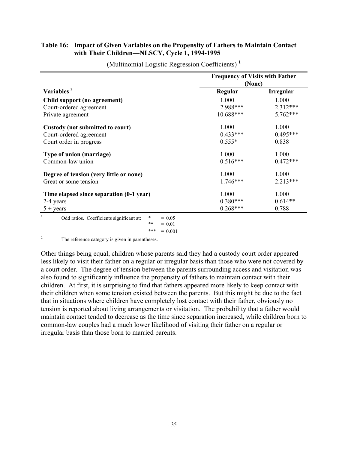# **Table 16: Impact of Given Variables on the Propensity of Fathers to Maintain Contact with Their Children—NLSCY, Cycle 1, 1994-1995**

|                                          | <b>Frequency of Visits with Father</b><br>(None) |                  |  |  |  |
|------------------------------------------|--------------------------------------------------|------------------|--|--|--|
| Variables <sup>2</sup>                   | Regular                                          | <b>Irregular</b> |  |  |  |
| Child support (no agreement)             | 1.000                                            | 1.000            |  |  |  |
| Court-ordered agreement                  | 2.988***                                         | 2.312***         |  |  |  |
| Private agreement                        | 10.688***                                        | 5.762***         |  |  |  |
| Custody (not submitted to court)         | 1.000                                            | 1.000            |  |  |  |
| Court-ordered agreement                  | $0.433***$                                       | $0.495***$       |  |  |  |
| Court order in progress                  | $0.555*$                                         | 0.838            |  |  |  |
| Type of union (marriage)                 | 1.000                                            | 1.000            |  |  |  |
| Common-law union                         | $0.516***$                                       | $0.472***$       |  |  |  |
| Degree of tension (very little or none)  | 1.000                                            | 1.000            |  |  |  |
| Great or some tension                    | $1.746***$                                       | $2.213***$       |  |  |  |
| Time elapsed since separation (0-1 year) | 1.000                                            | 1.000            |  |  |  |
| 2-4 years                                | $0.380***$                                       | $0.614**$        |  |  |  |
| $5 + \text{years}$                       | $0.268***$                                       | 0.788            |  |  |  |

(Multinomial Logistic Regression Coefficients) **<sup>1</sup>**

<sup>2</sup> The reference category is given in parentheses.

Other things being equal, children whose parents said they had a custody court order appeared less likely to visit their father on a regular or irregular basis than those who were not covered by a court order. The degree of tension between the parents surrounding access and visitation was also found to significantly influence the propensity of fathers to maintain contact with their children. At first, it is surprising to find that fathers appeared more likely to keep contact with their children when some tension existed between the parents. But this might be due to the fact that in situations where children have completely lost contact with their father, obviously no tension is reported about living arrangements or visitation. The probability that a father would maintain contact tended to decrease as the time since separation increased, while children born to common-law couples had a much lower likelihood of visiting their father on a regular or irregular basis than those born to married parents.

<sup>\*\*</sup>  $= 0.01$ \*\*\* =  $0.001$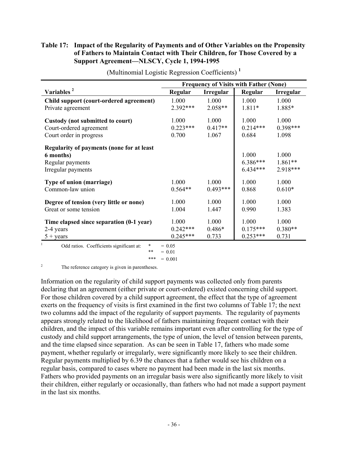# **Table 17: Impact of the Regularity of Payments and of Other Variables on the Propensity of Fathers to Maintain Contact with Their Children, for Those Covered by a Support Agreement—NLSCY, Cycle 1, 1994-1995**

|                                                        | <b>Frequency of Visits with Father (None)</b> |                  |            |                  |
|--------------------------------------------------------|-----------------------------------------------|------------------|------------|------------------|
| Variables <sup>2</sup>                                 | Regular                                       | <b>Irregular</b> | Regular    | <b>Irregular</b> |
| Child support (court-ordered agreement)                | 1.000                                         | 1.000            | 1.000      | 1.000            |
| Private agreement                                      | $2.392***$                                    | $2.058**$        | 1.811*     | 1.885*           |
| Custody (not submitted to court)                       | 1.000                                         | 1.000            | 1.000      | 1.000            |
| Court-ordered agreement                                | $0.223***$                                    | $0.417**$        | $0.214***$ | $0.398***$       |
| Court order in progress                                | 0.700                                         | 1.067            | 0.684      | 1.098            |
| <b>Regularity of payments (none for at least)</b>      |                                               |                  |            |                  |
| 6 months)                                              |                                               |                  | 1.000      | 1.000            |
| Regular payments                                       |                                               |                  | $6.386***$ | $1.861**$        |
| Irregular payments                                     |                                               |                  | $6.434***$ | 2.918***         |
| Type of union (marriage)                               | 1.000                                         | 1.000            | 1.000      | 1.000            |
| Common-law union                                       | $0.564**$                                     | $0.493***$       | 0.868      | $0.610*$         |
| Degree of tension (very little or none)                | 1.000                                         | 1.000            | 1.000      | 1.000            |
| Great or some tension                                  | 1.004                                         | 1.447            | 0.990      | 1.383            |
| Time elapsed since separation (0-1 year)               | 1.000                                         | 1.000            | 1.000      | 1.000            |
| 2-4 years                                              | $0.242***$                                    | $0.486*$         | $0.175***$ | $0.380**$        |
| $5 + \text{years}$                                     | $0.245***$                                    | 0.733            | $0.253***$ | 0.731            |
| Odd ratios. Coefficients significant at:<br>×<br>$* *$ | $= 0.05$<br>$= 0.01$                          |                  |            |                  |

(Multinomial Logistic Regression Coefficients) **<sup>1</sup>**

<sup>2</sup> The reference category is given in parentheses.

Information on the regularity of child support payments was collected only from parents declaring that an agreement (either private or court-ordered) existed concerning child support. For those children covered by a child support agreement, the effect that the type of agreement exerts on the frequency of visits is first examined in the first two columns of Table 17; the next two columns add the impact of the regularity of support payments. The regularity of payments appears strongly related to the likelihood of fathers maintaining frequent contact with their children, and the impact of this variable remains important even after controlling for the type of custody and child support arrangements, the type of union, the level of tension between parents, and the time elapsed since separation. As can be seen in Table 17, fathers who made some payment, whether regularly or irregularly, were significantly more likely to see their children. Regular payments multiplied by 6.39 the chances that a father would see his children on a regular basis, compared to cases where no payment had been made in the last six months. Fathers who provided payments on an irregular basis were also significantly more likely to visit their children, either regularly or occasionally, than fathers who had not made a support payment in the last six months.

<sup>\*\*\* =</sup>  $0.001$